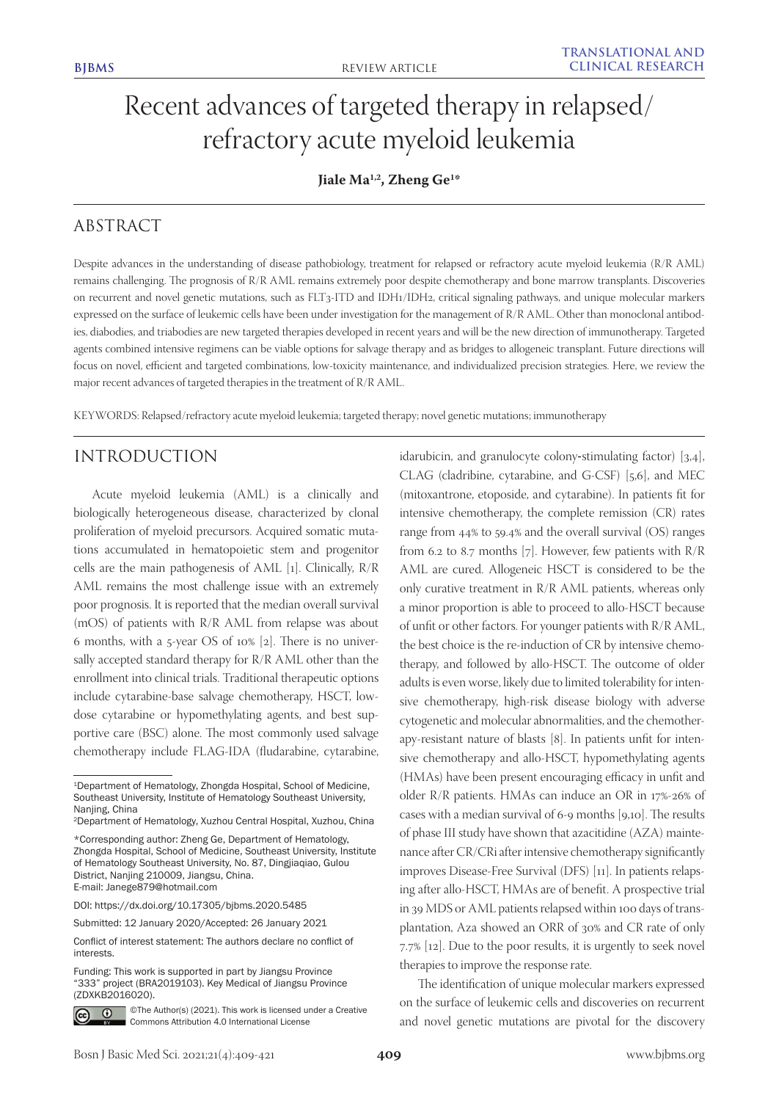# Recent advances of targeted therapy in relapsed/ refractory acute myeloid leukemia

# **Jiale Ma1,2, Zheng Ge1 \***

# ABSTRACT

Despite advances in the understanding of disease pathobiology, treatment for relapsed or refractory acute myeloid leukemia (R/R AML) remains challenging. The prognosis of R/R AML remains extremely poor despite chemotherapy and bone marrow transplants. Discoveries on recurrent and novel genetic mutations, such as FLT3-ITD and IDH1/IDH2, critical signaling pathways, and unique molecular markers expressed on the surface of leukemic cells have been under investigation for the management of R/R AML. Other than monoclonal antibodies, diabodies, and triabodies are new targeted therapies developed in recent years and will be the new direction of immunotherapy. Targeted agents combined intensive regimens can be viable options for salvage therapy and as bridges to allogeneic transplant. Future directions will focus on novel, efficient and targeted combinations, low-toxicity maintenance, and individualized precision strategies. Here, we review the major recent advances of targeted therapies in the treatment of R/R AML.

KEYWORDS: Relapsed/refractory acute myeloid leukemia; targeted therapy; novel genetic mutations; immunotherapy

# INTRODUCTION

Acute myeloid leukemia (AML) is a clinically and biologically heterogeneous disease, characterized by clonal proliferation of myeloid precursors. Acquired somatic mutations accumulated in hematopoietic stem and progenitor cells are the main pathogenesis of AML [1]. Clinically, R/R AML remains the most challenge issue with an extremely poor prognosis. It is reported that the median overall survival (mOS) of patients with R/R AML from relapse was about 6 months, with a 5-year OS of 10% [2]. There is no universally accepted standard therapy for R/R AML other than the enrollment into clinical trials. Traditional therapeutic options include cytarabine-base salvage chemotherapy, HSCT, lowdose cytarabine or hypomethylating agents, and best supportive care (BSC) alone. The most commonly used salvage chemotherapy include FLAG-IDA (fludarabine, cytarabine,

DOI: https://dx.doi.org/10.17305/bjbms.2020.5485

Funding: This work is supported in part by Jiangsu Province "333" project (BRA2019103). Key Medical of Jiangsu Province (ZDXKB2016020).



©The Author(s) (2021). This work is licensed under a Creative Commons Attribution 4.0 International License

idarubicin, and granulocyte colony-stimulating factor) [3,4], CLAG (cladribine, cytarabine, and G-CSF) [5,6], and MEC (mitoxantrone, etoposide, and cytarabine). In patients fit for intensive chemotherapy, the complete remission (CR) rates range from 44% to 59.4% and the overall survival (OS) ranges from 6.2 to 8.7 months [7]. However, few patients with  $R/R$ AML are cured. Allogeneic HSCT is considered to be the only curative treatment in R/R AML patients, whereas only a minor proportion is able to proceed to allo-HSCT because of unfit or other factors. For younger patients with R/R AML, the best choice is the re-induction of CR by intensive chemotherapy, and followed by allo-HSCT. The outcome of older adults is even worse, likely due to limited tolerability for intensive chemotherapy, high-risk disease biology with adverse cytogenetic and molecular abnormalities, and the chemotherapy-resistant nature of blasts [8]. In patients unfit for intensive chemotherapy and allo-HSCT, hypomethylating agents (HMAs) have been present encouraging efficacy in unfit and older R/R patients. HMAs can induce an OR in 17%-26% of cases with a median survival of 6-9 months [9,10]. The results of phase III study have shown that azacitidine (AZA) maintenance after CR/CRi after intensive chemotherapy significantly improves Disease-Free Survival (DFS) [11]. In patients relapsing after allo-HSCT, HMAs are of benefit. A prospective trial in 39 MDS or AML patients relapsed within 100 days of transplantation, Aza showed an ORR of 30% and CR rate of only 7.7% [12]. Due to the poor results, it is urgently to seek novel therapies to improve the response rate.

The identification of unique molecular markers expressed on the surface of leukemic cells and discoveries on recurrent and novel genetic mutations are pivotal for the discovery

<sup>1</sup>Department of Hematology, Zhongda Hospital, School of Medicine, Southeast University, Institute of Hematology Southeast University, Nanjing, China

<sup>2</sup>Department of Hematology, Xuzhou Central Hospital, Xuzhou, China

<sup>\*</sup>Corresponding author: Zheng Ge, Department of Hematology, Zhongda Hospital, School of Medicine, Southeast University, Institute of Hematology Southeast University, No. 87, Dingjiaqiao, Gulou District, Nanjing 210009, Jiangsu, China. E-mail: Janege879@hotmail.com

Submitted: 12 January 2020/Accepted: 26 January 2021

Conflict of interest statement: The authors declare no conflict of interests.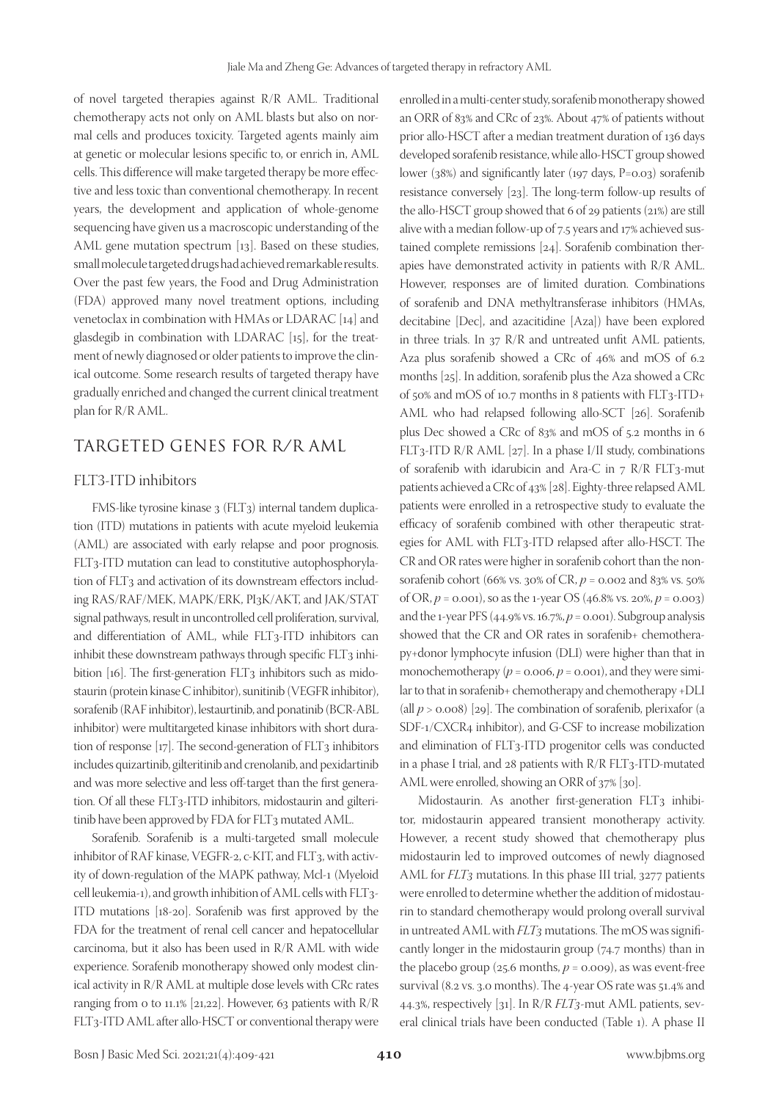of novel targeted therapies against R/R AML. Traditional chemotherapy acts not only on AML blasts but also on normal cells and produces toxicity. Targeted agents mainly aim at genetic or molecular lesions specific to, or enrich in, AML cells. This difference will make targeted therapy be more effective and less toxic than conventional chemotherapy. In recent years, the development and application of whole-genome sequencing have given us a macroscopic understanding of the AML gene mutation spectrum [13]. Based on these studies, small molecule targeted drugs had achieved remarkable results. Over the past few years, the Food and Drug Administration (FDA) approved many novel treatment options, including venetoclax in combination with HMAs or LDARAC [14] and glasdegib in combination with LDARAC [15], for the treatment of newly diagnosed or older patients to improve the clinical outcome. Some research results of targeted therapy have gradually enriched and changed the current clinical treatment plan for R/R AML.

# TARGETED GENES FOR R/R AML

### FLT3-ITD inhibitors

FMS-like tyrosine kinase 3 (FLT3) internal tandem duplication (ITD) mutations in patients with acute myeloid leukemia (AML) are associated with early relapse and poor prognosis. FLT3-ITD mutation can lead to constitutive autophosphorylation of FLT<sub>3</sub> and activation of its downstream effectors including RAS/RAF/MEK, MAPK/ERK, PI3K/AKT, and JAK/STAT signal pathways, result in uncontrolled cell proliferation, survival, and differentiation of AML, while FLT3-ITD inhibitors can inhibit these downstream pathways through specific FLT3 inhibition [16]. The first-generation FLT3 inhibitors such as midostaurin (protein kinase C inhibitor), sunitinib (VEGFR inhibitor), sorafenib (RAF inhibitor), lestaurtinib, and ponatinib (BCR-ABL inhibitor) were multitargeted kinase inhibitors with short duration of response  $[17]$ . The second-generation of  $FLT_3$  inhibitors includes quizartinib, gilteritinib and crenolanib, and pexidartinib and was more selective and less off-target than the first generation. Of all these FLT3-ITD inhibitors, midostaurin and gilteritinib have been approved by FDA for FLT3 mutated AML.

Sorafenib. Sorafenib is a multi-targeted small molecule inhibitor of RAF kinase, VEGFR-2, c-KIT, and FLT3, with activity of down-regulation of the MAPK pathway, Mcl-1 (Myeloid cell leukemia-1), and growth inhibition of AML cells with FLT3- ITD mutations [18-20]. Sorafenib was first approved by the FDA for the treatment of renal cell cancer and hepatocellular carcinoma, but it also has been used in R/R AML with wide experience. Sorafenib monotherapy showed only modest clinical activity in R/R AML at multiple dose levels with CRc rates ranging from 0 to 11.1% [21,22]. However, 63 patients with R/R FLT3-ITD AML after allo-HSCT or conventional therapy were

enrolled in a multi-center study, sorafenib monotherapy showed an ORR of 83% and CRc of 23%. About 47% of patients without prior allo-HSCT after a median treatment duration of 136 days developed sorafenib resistance, while allo-HSCT group showed lower (38%) and significantly later (197 days, P=0.03) sorafenib resistance conversely [23]. The long-term follow-up results of the allo-HSCT group showed that 6 of 29 patients (21%) are still alive with a median follow-up of 7.5 years and 17% achieved sustained complete remissions [24]. Sorafenib combination therapies have demonstrated activity in patients with R/R AML. However, responses are of limited duration. Combinations of sorafenib and DNA methyltransferase inhibitors (HMAs, decitabine [Dec], and azacitidine [Aza]) have been explored in three trials. In 37 R/R and untreated unfit AML patients, Aza plus sorafenib showed a CRc of 46% and mOS of 6.2 months [25]. In addition, sorafenib plus the Aza showed a CRc of 50% and mOS of 10.7 months in 8 patients with FLT3-ITD+ AML who had relapsed following allo-SCT [26]. Sorafenib plus Dec showed a CRc of 83% and mOS of 5.2 months in 6 FLT3-ITD R/R AML [27]. In a phase I/II study, combinations of sorafenib with idarubicin and Ara-C in  $7 R/R$  FLT3-mut patients achieved a CRc of 43% [28]. Eighty-three relapsed AML patients were enrolled in a retrospective study to evaluate the efficacy of sorafenib combined with other therapeutic strategies for AML with FLT3-ITD relapsed after allo-HSCT. The CR and OR rates were higher in sorafenib cohort than the nonsorafenib cohort (66% vs. 30% of CR, *p* = 0.002 and 83% vs. 50% of OR,  $p = 0.001$ , so as the 1-year OS (46.8% vs. 20%,  $p = 0.003$ ) and the 1-year PFS (44.9% vs. 16.7%, *p* = 0.001). Subgroup analysis showed that the CR and OR rates in sorafenib+ chemotherapy+donor lymphocyte infusion (DLI) were higher than that in monochemotherapy  $(p = 0.006, p = 0.001)$ , and they were similar to that in sorafenib+ chemotherapy and chemotherapy +DLI (all  $p > 0.008$ ) [29]. The combination of sorafenib, plerixafor (a SDF-1/CXCR4 inhibitor), and G-CSF to increase mobilization and elimination of FLT3-ITD progenitor cells was conducted in a phase I trial, and 28 patients with R/R FLT3-ITD-mutated AML were enrolled, showing an ORR of 37% [30].

Midostaurin. As another first-generation FLT3 inhibitor, midostaurin appeared transient monotherapy activity. However, a recent study showed that chemotherapy plus midostaurin led to improved outcomes of newly diagnosed AML for *FLT3* mutations. In this phase III trial, 3277 patients were enrolled to determine whether the addition of midostaurin to standard chemotherapy would prolong overall survival in untreated AML with *FLT3* mutations. The mOS was significantly longer in the midostaurin group (74.7 months) than in the placebo group ( $25.6$  months,  $p = 0.009$ ), as was event-free survival (8.2 vs. 3.0 months). The 4-year OS rate was 51.4% and 44.3%, respectively [31]. In R/R *FLT3*-mut AML patients, several clinical trials have been conducted (Table 1). A phase II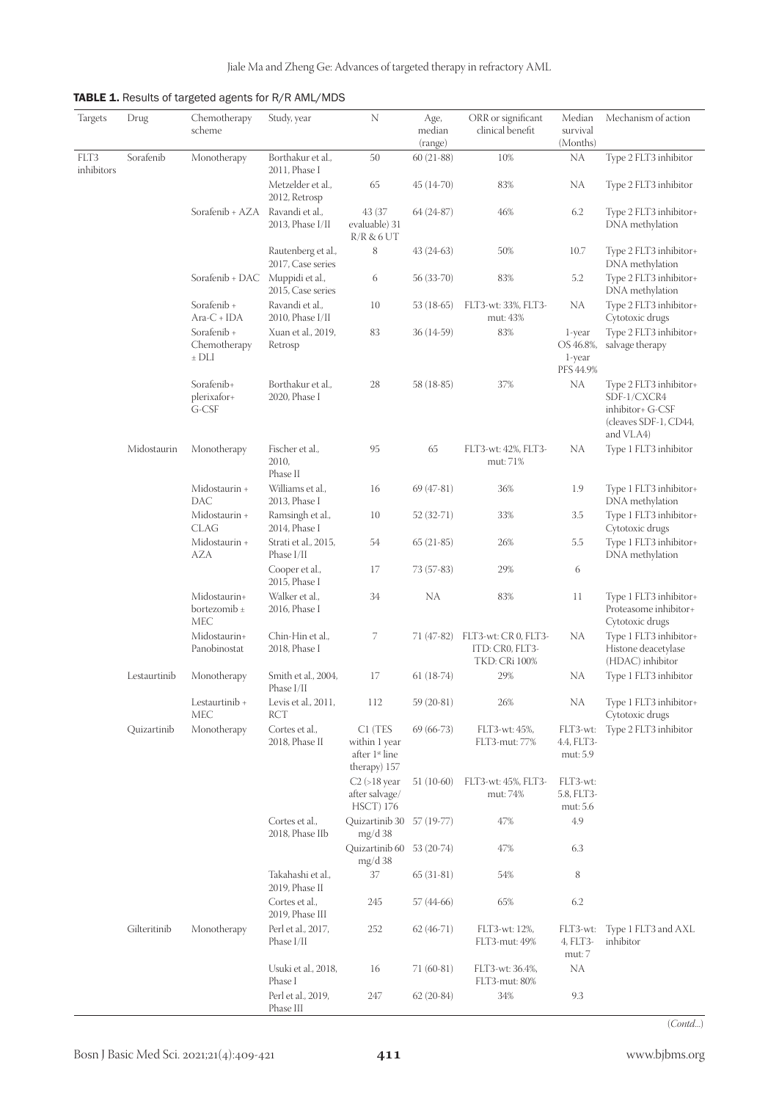TABLE 1. Results of targeted agents for R/R AML/MDS

| Targets    | Drug         | Chemotherapy<br>scheme                  | Study, year                             | N                                                          | Age,<br>median<br>(range) | ORR or significant<br>clinical benefit                          | Median<br>survival<br>(Months)     | Mechanism of action                                                                             |
|------------|--------------|-----------------------------------------|-----------------------------------------|------------------------------------------------------------|---------------------------|-----------------------------------------------------------------|------------------------------------|-------------------------------------------------------------------------------------------------|
| FLT3       | Sorafenib    | Monotherapy                             | Borthakur et al.,                       | 50                                                         | $60(21-88)$               | 10%                                                             | <b>NA</b>                          | Type 2 FLT3 inhibitor                                                                           |
| inhibitors |              |                                         | 2011, Phase I<br>Metzelder et al.,      | 65                                                         | $45(14-70)$               | 83%                                                             | NA                                 | Type 2 FLT3 inhibitor                                                                           |
|            |              |                                         | 2012, Retrosp                           |                                                            |                           |                                                                 |                                    |                                                                                                 |
|            |              | Sorafenib + AZA                         | Ravandi et al.,<br>2013, Phase I/II     | 43 (37<br>evaluable) 31<br>R/R & 6 UT                      | $64(24-87)$               | 46%                                                             | 6.2                                | Type 2 FLT3 inhibitor+<br>DNA methylation                                                       |
|            |              |                                         | Rautenberg et al.,<br>2017, Case series | $\,$ 8 $\,$                                                | $43(24-63)$               | 50%                                                             | 10.7                               | Type 2 FLT3 inhibitor+<br>DNA methylation                                                       |
|            |              | Sorafenib + DAC                         | Muppidi et al.,<br>2015, Case series    | 6                                                          | 56 (33-70)                | 83%                                                             | $5.2\,$                            | Type 2 FLT3 inhibitor+<br>DNA methylation                                                       |
|            |              | Sorafenib +<br>$Area-C + IDA$           | Ravandi et al.,<br>2010, Phase I/II     | 10                                                         | 53 (18-65)                | FLT3-wt: 33%, FLT3-<br>mut: 43%                                 | NA                                 | Type 2 FLT3 inhibitor+<br>Cytotoxic drugs                                                       |
|            |              | Sorafenib +                             | Xuan et al., 2019,                      | 83                                                         | $36(14-59)$               | 83%                                                             | 1-year                             | Type 2 FLT3 inhibitor+                                                                          |
|            |              | Chemotherapy<br>$±$ DLI                 | Retrosp                                 |                                                            |                           |                                                                 | OS 46.8%,<br>1-year<br>PFS 44.9%   | salvage therapy                                                                                 |
|            |              | Sorafenib+<br>plerixafor+<br>G-CSF      | Borthakur et al.,<br>2020, Phase I      | 28                                                         | 58 (18-85)                | 37%                                                             | <b>NA</b>                          | Type 2 FLT3 inhibitor+<br>SDF-1/CXCR4<br>inhibitor+ G-CSF<br>(cleaves SDF-1, CD44,<br>and VLA4) |
|            | Midostaurin  | Monotherapy                             | Fischer et al.,<br>2010,<br>Phase II    | 95                                                         | 65                        | FLT3-wt: 42%, FLT3-<br>mut: 71%                                 | NA                                 | Type 1 FLT3 inhibitor                                                                           |
|            |              | Midostaurin +<br>DAC                    | Williams et al.,<br>2013, Phase I       | 16                                                         | $69(47-81)$               | 36%                                                             | 1.9                                | Type 1 FLT3 inhibitor+<br>DNA methylation                                                       |
|            |              | Midostaurin +<br><b>CLAG</b>            | Ramsingh et al.,<br>2014, Phase I       | 10                                                         | 52 (32-71)                | 33%                                                             | 3.5                                | Type 1 FLT3 inhibitor+<br>Cytotoxic drugs                                                       |
|            |              | Midostaurin +<br><b>AZA</b>             | Strati et al., 2015,<br>Phase I/II      | 54                                                         | $65(21-85)$               | 26%                                                             | 5.5                                | Type 1 FLT3 inhibitor+<br>DNA methylation                                                       |
|            |              |                                         | Cooper et al.,<br>2015, Phase I         | 17                                                         | 73 (57-83)                | 29%                                                             | 6                                  |                                                                                                 |
|            |              | Midostaurin+<br>bortezomib $\pm$<br>MEC | Walker et al.,<br>2016, Phase I         | 34                                                         | <b>NA</b>                 | 83%                                                             | 11                                 | Type 1 FLT3 inhibitor+<br>Proteasome inhibitor+<br>Cytotoxic drugs                              |
|            |              | Midostaurin+<br>Panobinostat            | Chin-Hin et al.,<br>2018, Phase I       | 7                                                          | 71 (47-82)                | FLT3-wt: CR 0, FLT3-<br>ITD: CR0, FLT3-<br><b>TKD: CRi 100%</b> | NA                                 | Type 1 FLT3 inhibitor+<br>Histone deacetylase<br>(HDAC) inhibitor                               |
|            | Lestaurtinib | Monotherapy                             | Smith et al., 2004,<br>Phase I/II       | 17                                                         | $61(18-74)$               | 29%                                                             | NA                                 | Type 1 FLT3 inhibitor                                                                           |
|            |              | Lestaurtinib +<br>MEC                   | Levis et al., 2011,<br>RCT              | 112                                                        | 59 (20-81)                | 26%                                                             | <b>NA</b>                          | Type 1 FLT3 inhibitor+<br>Cytotoxic drugs                                                       |
|            | Quizartinib  | Monotherapy                             | Cortes et al.,<br>2018, Phase II        | C1 (TES<br>within 1 year<br>after 1st line<br>therapy) 157 | $69(66-73)$               | FLT3-wt: 45%,<br>FLT3-mut: 77%                                  | FLT3-wt:<br>4.4, FLT3-<br>mut: 5.9 | Type 2 FLT3 inhibitor                                                                           |
|            |              |                                         |                                         | $C2$ (>18 year<br>after salvage/<br><b>HSCT</b> ) 176      | $51(10-60)$               | FLT3-wt: 45%, FLT3-<br>mut: 74%                                 | FLT3-wt:<br>5.8, FLT3-<br>mut: 5.6 |                                                                                                 |
|            |              |                                         | Cortes et al.,<br>2018, Phase IIb       | Quizartinib 30 57 (19-77)<br>mg/d38                        |                           | 47%                                                             | 4.9                                |                                                                                                 |
|            |              |                                         |                                         | Quizartinib 60<br>mg/d38                                   | 53 (20-74)                | 47%                                                             | 6.3                                |                                                                                                 |
|            |              |                                         | Takahashi et al.,<br>2019, Phase II     | 37                                                         | $65(31-81)$               | 54%                                                             | 8                                  |                                                                                                 |
|            |              |                                         | Cortes et al.,<br>2019, Phase III       | 245                                                        | 57 (44-66)                | 65%                                                             | 6.2                                |                                                                                                 |
|            | Gilteritinib | Monotherapy                             | Perl et al., 2017,<br>Phase I/II        | 252                                                        | $62(46-71)$               | FLT3-wt: 12%,<br>FLT3-mut: 49%                                  | FLT3-wt:<br>4, FLT3-<br>mut: 7     | Type 1 FLT3 and AXL<br>inhibitor                                                                |
|            |              |                                         | Usuki et al., 2018,<br>Phase I          | 16                                                         | $71(60-81)$               | FLT3-wt: 36.4%,<br>FLT3-mut: 80%                                | NA                                 |                                                                                                 |
|            |              |                                         | Perl et al., 2019,<br>Phase III         | 247                                                        | $62(20-84)$               | 34%                                                             | 9.3                                |                                                                                                 |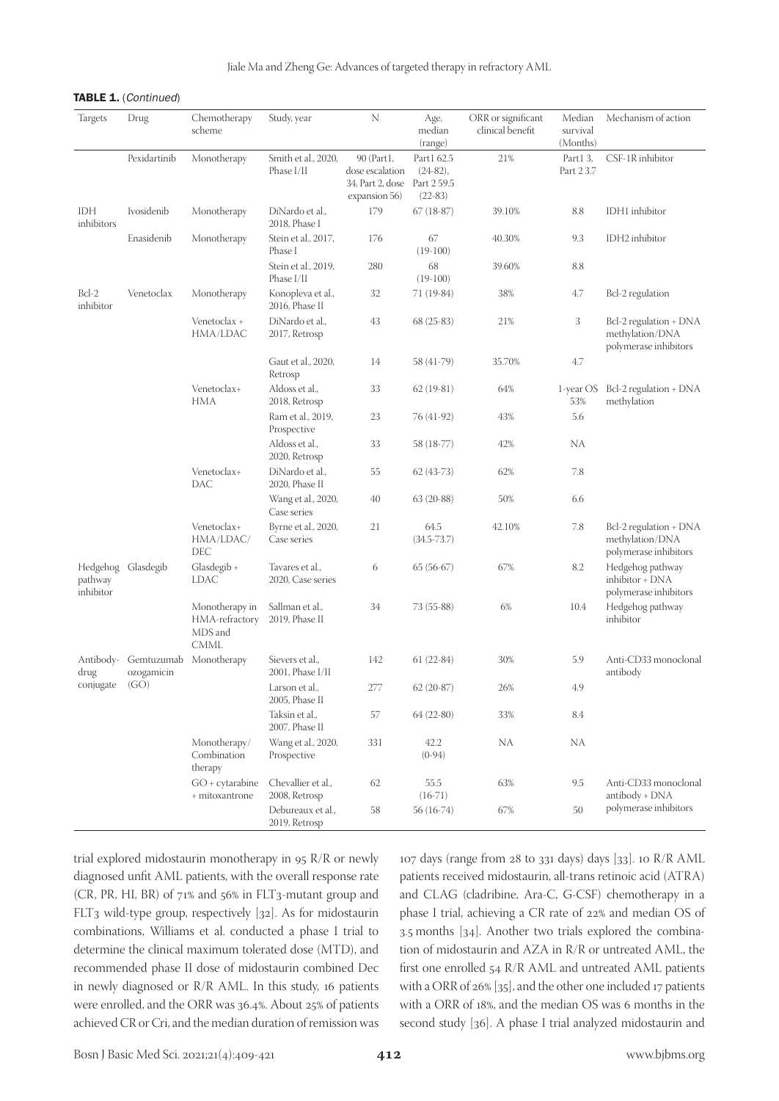#### TABLE 1. (Continued)

| Targets              | Drug                     | Chemotherapy<br>scheme                                     | Study, year                          | N                                                                  | Age,<br>median<br>(range)                             | ORR or significant<br>clinical benefit | Median<br>survival<br>(Months) | Mechanism of action                                                |
|----------------------|--------------------------|------------------------------------------------------------|--------------------------------------|--------------------------------------------------------------------|-------------------------------------------------------|----------------------------------------|--------------------------------|--------------------------------------------------------------------|
|                      | Pexidartinib             | Monotherapy                                                | Smith et al., 2020,<br>Phase I/II    | 90 (Part1,<br>dose escalation<br>34, Part 2, dose<br>expansion 56) | Part1 62.5<br>$(24-82)$ ,<br>Part 2 59.5<br>$(22-83)$ | 21%                                    | Part1 3,<br>Part 2 3.7         | CSF-1R inhibitor                                                   |
| IDH<br>inhibitors    | Ivosidenib               | Monotherapy                                                | DiNardo et al.,<br>2018, Phase I     | 179                                                                | $67(18-87)$                                           | 39.10%                                 | 8.8                            | IDH1 inhibitor                                                     |
|                      | Enasidenib               | Monotherapy                                                | Stein et al., 2017,<br>Phase I       | 176                                                                | 67<br>$(19-100)$                                      | 40.30%                                 | 9.3                            | IDH2 inhibitor                                                     |
|                      |                          |                                                            | Stein et al., 2019,<br>Phase I/II    | 280                                                                | 68<br>$(19-100)$                                      | 39.60%                                 | 8.8                            |                                                                    |
| $Bcl-2$<br>inhibitor | Venetoclax               | Monotherapy                                                | Konopleva et al.,<br>2016, Phase II  | 32                                                                 | 71 (19-84)                                            | 38%                                    | 4.7                            | Bcl-2 regulation                                                   |
|                      |                          | Venetoclax +<br>HMA/LDAC                                   | DiNardo et al.,<br>2017, Retrosp     | 43                                                                 | $68(25-83)$                                           | 21%                                    | 3                              | Bcl-2 regulation + DNA<br>methylation/DNA<br>polymerase inhibitors |
|                      |                          |                                                            | Gaut et al., 2020,<br>Retrosp        | 14                                                                 | 58 (41-79)                                            | 35.70%                                 | 4.7                            |                                                                    |
|                      |                          | Venetoclax+<br>HMA                                         | Aldoss et al.,<br>2018, Retrosp      | 33                                                                 | $62(19-81)$                                           | 64%                                    | 1-year OS<br>53%               | Bcl-2 regulation + DNA<br>methylation                              |
|                      |                          |                                                            | Ram et al., 2019,<br>Prospective     | 23                                                                 | 76 (41-92)                                            | 43%                                    | 5.6                            |                                                                    |
|                      |                          |                                                            | Aldoss et al.,<br>2020, Retrosp      | 33                                                                 | 58 (18-77)                                            | 42%                                    | NA                             |                                                                    |
|                      |                          | Venetoclax+<br>DAC                                         | DiNardo et al.,<br>2020, Phase II    | 55                                                                 | $62(43-73)$                                           | 62%                                    | 7.8                            |                                                                    |
|                      |                          |                                                            | Wang et al., 2020,<br>Case series    | 40                                                                 | $63(20-88)$                                           | 50%                                    | 6.6                            |                                                                    |
|                      |                          | Venetoclax+<br>HMA/LDAC/<br>DEC                            | Byrne et al., 2020,<br>Case series   | 21                                                                 | 64.5<br>$(34.5 - 73.7)$                               | 42.10%                                 | 7.8                            | Bcl-2 regulation + DNA<br>methylation/DNA<br>polymerase inhibitors |
| pathway<br>inhibitor | Hedgehog Glasdegib       | Glasdegib +<br>LDAC                                        | Tavares et al.,<br>2020, Case series | 6                                                                  | $65(56-67)$                                           | 67%                                    | 8.2                            | Hedgehog pathway<br>inhibitor + DNA<br>polymerase inhibitors       |
|                      |                          | Monotherapy in<br>HMA-refractory<br>MDS and<br><b>CMML</b> | Sallman et al.,<br>2019, Phase II    | 34                                                                 | 73 (55-88)                                            | 6%                                     | 10.4                           | Hedgehog pathway<br>inhibitor                                      |
| Antibody-<br>drug    | Gemtuzumab<br>ozogamicin | Monotherapy                                                | Sievers et al.,<br>2001, Phase I/II  | 142                                                                | $61(22-84)$                                           | 30%                                    | 5.9                            | Anti-CD33 monoclonal<br>antibody                                   |
| conjugate            | (GO)                     |                                                            | Larson et al.,<br>2005, Phase II     | 277                                                                | $62(20-87)$                                           | 26%                                    | 4.9                            |                                                                    |
|                      |                          |                                                            | Taksin et al.,<br>2007, Phase II     | 57                                                                 | $64(22-80)$                                           | 33%                                    | 8.4                            |                                                                    |
|                      |                          | Monotherapy/<br>Combination<br>therapy                     | Wang et al., 2020,<br>Prospective    | 331                                                                | 42.2<br>$(0-94)$                                      | <b>NA</b>                              | NA                             |                                                                    |
|                      |                          | $GO + cytarabine$<br>+ mitoxantrone                        | Chevallier et al.,<br>2008, Retrosp  | 62                                                                 | 55.5<br>$(16-71)$                                     | 63%                                    | 9.5                            | Anti-CD33 monoclonal<br>antibody + DNA                             |
|                      |                          |                                                            | Debureaux et al.,<br>2019, Retrosp   | 58                                                                 | 56 (16-74)                                            | 67%                                    | 50                             | polymerase inhibitors                                              |

trial explored midostaurin monotherapy in 95 R/R or newly diagnosed unfit AML patients, with the overall response rate (CR, PR, HI, BR) of 71% and 56% in FLT3-mutant group and FLT3 wild-type group, respectively [32]. As for midostaurin combinations, Williams et al. conducted a phase I trial to determine the clinical maximum tolerated dose (MTD), and recommended phase II dose of midostaurin combined Dec in newly diagnosed or R/R AML. In this study, 16 patients were enrolled, and the ORR was 36.4%. About 25% of patients achieved CR or Cri, and the median duration of remission was

107 days (range from 28 to 331 days) days [33]. 10 R/R AML patients received midostaurin, all-trans retinoic acid (ATRA) and CLAG (cladribine, Ara-C, G-CSF) chemotherapy in a phase I trial, achieving a CR rate of 22% and median OS of 3.5 months [34]. Another two trials explored the combination of midostaurin and AZA in R/R or untreated AML, the first one enrolled 54 R/R AML and untreated AML patients with a ORR of 26% [35], and the other one included 17 patients with a ORR of 18%, and the median OS was 6 months in the second study [36]. A phase I trial analyzed midostaurin and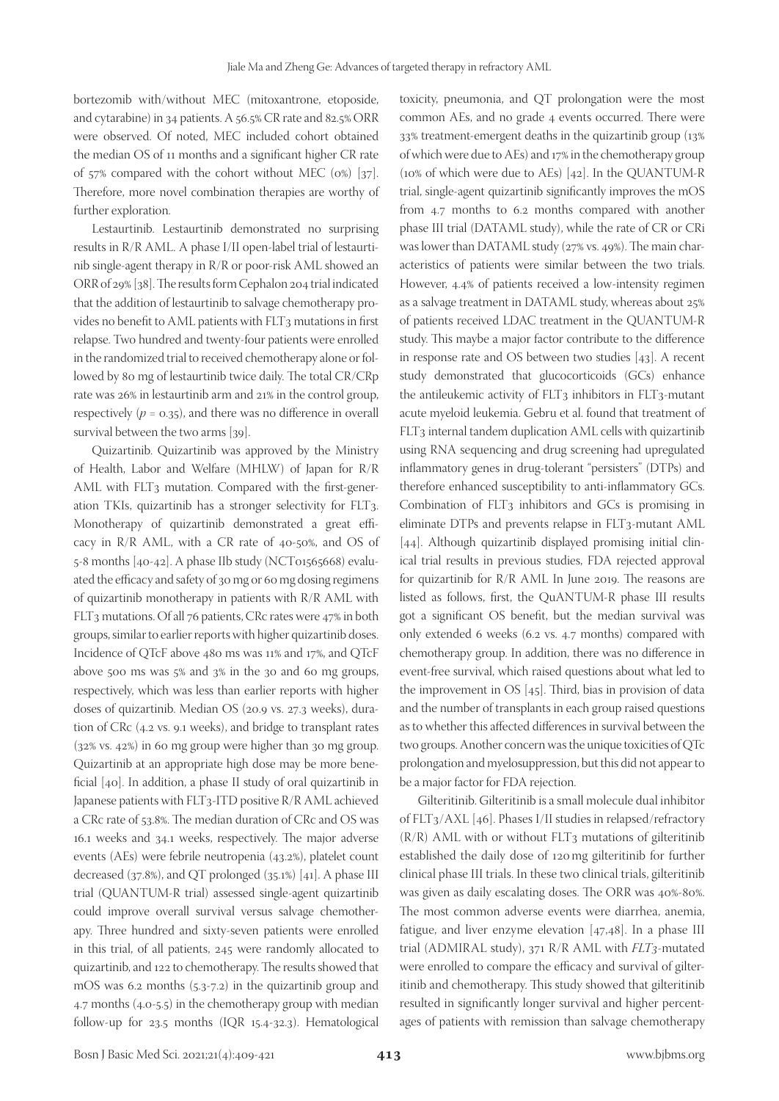bortezomib with/without MEC (mitoxantrone, etoposide, and cytarabine) in 34 patients. A 56.5% CR rate and 82.5% ORR were observed. Of noted, MEC included cohort obtained the median OS of 11 months and a significant higher CR rate of 57% compared with the cohort without MEC (0%) [37]. Therefore, more novel combination therapies are worthy of further exploration.

Lestaurtinib. Lestaurtinib demonstrated no surprising results in R/R AML. A phase I/II open-label trial of lestaurtinib single-agent therapy in R/R or poor-risk AML showed an ORR of 29% [38]. The results form Cephalon 204 trial indicated that the addition of lestaurtinib to salvage chemotherapy provides no benefit to AML patients with FLT3 mutations in first relapse. Two hundred and twenty-four patients were enrolled in the randomized trial to received chemotherapy alone or followed by 80 mg of lestaurtinib twice daily. The total CR/CRp rate was 26% in lestaurtinib arm and 21% in the control group, respectively  $(p = 0.35)$ , and there was no difference in overall survival between the two arms [39].

Quizartinib. Quizartinib was approved by the Ministry of Health, Labor and Welfare (MHLW) of Japan for R/R AML with FLT3 mutation. Compared with the first-generation TKIs, quizartinib has a stronger selectivity for FLT3. Monotherapy of quizartinib demonstrated a great efficacy in R/R AML, with a CR rate of 40-50%, and OS of  $5-8$  months  $[40-42]$ . A phase IIb study (NCT01565668) evaluated the efficacy and safety of 30 mg or 60 mg dosing regimens of quizartinib monotherapy in patients with R/R AML with FLT3 mutations. Of all 76 patients, CRc rates were 47% in both groups, similar to earlier reports with higher quizartinib doses. Incidence of QTcF above 480 ms was 11% and 17%, and QTcF above 500 ms was 5% and 3% in the 30 and 60 mg groups, respectively, which was less than earlier reports with higher doses of quizartinib. Median OS (20.9 vs. 27.3 weeks), duration of CRc (4.2 vs. 9.1 weeks), and bridge to transplant rates (32% vs. 42%) in 60 mg group were higher than 30 mg group. Quizartinib at an appropriate high dose may be more beneficial [40]. In addition, a phase II study of oral quizartinib in Japanese patients with FLT3-ITD positive R/R AML achieved a CRc rate of 53.8%. The median duration of CRc and OS was 16.1 weeks and 34.1 weeks, respectively. The major adverse events (AEs) were febrile neutropenia (43.2%), platelet count decreased (37.8%), and QT prolonged (35.1%) [41]. A phase III trial (QUANTUM-R trial) assessed single-agent quizartinib could improve overall survival versus salvage chemotherapy. Three hundred and sixty-seven patients were enrolled in this trial, of all patients, 245 were randomly allocated to quizartinib, and 122 to chemotherapy. The results showed that mOS was 6.2 months (5.3-7.2) in the quizartinib group and 4.7 months (4.0-5.5) in the chemotherapy group with median follow-up for 23.5 months (IQR 15.4-32.3). Hematological

toxicity, pneumonia, and QT prolongation were the most common AEs, and no grade 4 events occurred. There were 33% treatment-emergent deaths in the quizartinib group (13% of which were due to AEs) and 17% in the chemotherapy group (10% of which were due to AEs) [42]. In the QUANTUM-R trial, single-agent quizartinib significantly improves the mOS from 4.7 months to 6.2 months compared with another phase III trial (DATAML study), while the rate of CR or CRi was lower than DATAML study (27% vs. 49%). The main characteristics of patients were similar between the two trials. However, 4.4% of patients received a low-intensity regimen as a salvage treatment in DATAML study, whereas about 25% of patients received LDAC treatment in the QUANTUM-R study. This maybe a major factor contribute to the difference in response rate and OS between two studies [43]. A recent study demonstrated that glucocorticoids (GCs) enhance the antileukemic activity of FLT<sub>3</sub> inhibitors in FLT<sub>3</sub>-mutant acute myeloid leukemia. Gebru et al. found that treatment of FLT3 internal tandem duplication AML cells with quizartinib using RNA sequencing and drug screening had upregulated inflammatory genes in drug-tolerant "persisters" (DTPs) and therefore enhanced susceptibility to anti-inflammatory GCs. Combination of FLT3 inhibitors and GCs is promising in eliminate DTPs and prevents relapse in FLT3-mutant AML [44]. Although quizartinib displayed promising initial clinical trial results in previous studies, FDA rejected approval for quizartinib for R/R AML In June 2019. The reasons are listed as follows, first, the QuANTUM-R phase III results got a significant OS benefit, but the median survival was only extended 6 weeks (6.2 vs. 4.7 months) compared with chemotherapy group. In addition, there was no difference in event-free survival, which raised questions about what led to the improvement in OS [45]. Third, bias in provision of data and the number of transplants in each group raised questions as to whether this affected differences in survival between the two groups. Another concern was the unique toxicities of QTc prolongation and myelosuppression, but this did not appear to be a major factor for FDA rejection.

Gilteritinib. Gilteritinib is a small molecule dual inhibitor of FLT3/AXL [46]. Phases I/II studies in relapsed/refractory  $(R/R)$  AML with or without FLT3 mutations of gilteritinib established the daily dose of 120mg gilteritinib for further clinical phase III trials. In these two clinical trials, gilteritinib was given as daily escalating doses. The ORR was 40%-80%. The most common adverse events were diarrhea, anemia, fatigue, and liver enzyme elevation [47,48]. In a phase III trial (ADMIRAL study), 371 R/R AML with *FLT3*-mutated were enrolled to compare the efficacy and survival of gilteritinib and chemotherapy. This study showed that gilteritinib resulted in significantly longer survival and higher percentages of patients with remission than salvage chemotherapy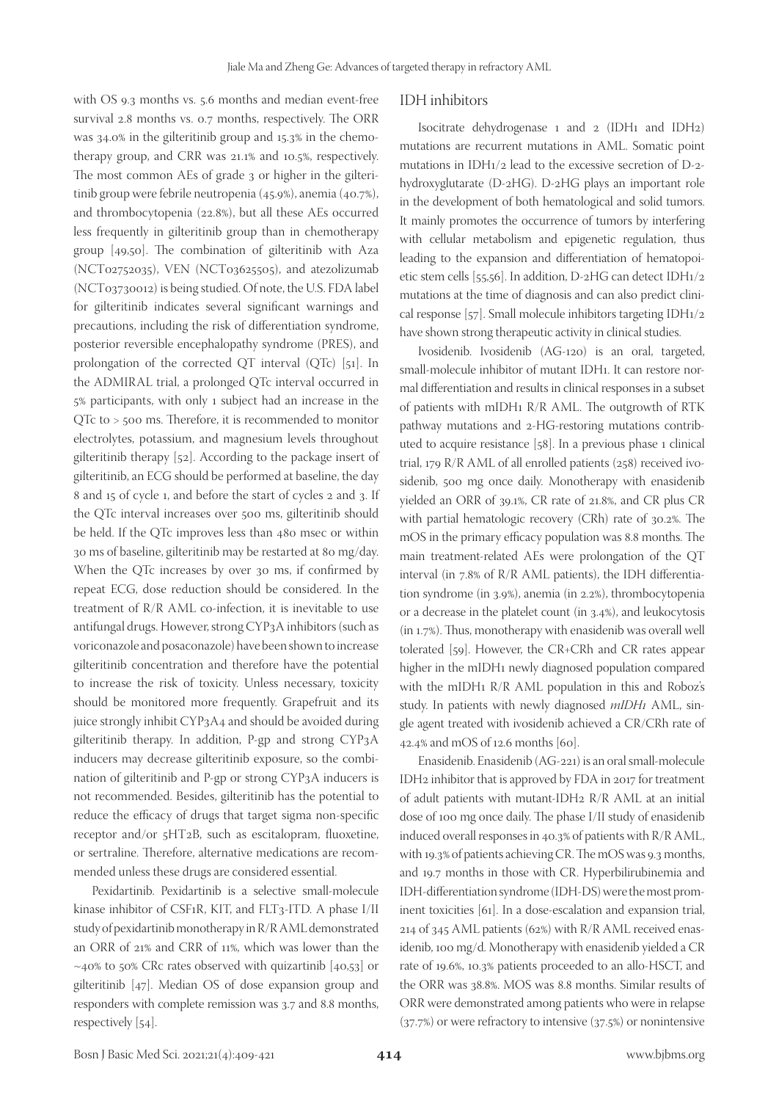with OS 9.3 months vs. 5.6 months and median event-free survival 2.8 months vs. 0.7 months, respectively. The ORR was 34.0% in the gilteritinib group and 15.3% in the chemotherapy group, and CRR was 21.1% and 10.5%, respectively. The most common AEs of grade 3 or higher in the gilteritinib group were febrile neutropenia (45.9%), anemia (40.7%), and thrombocytopenia (22.8%), but all these AEs occurred less frequently in gilteritinib group than in chemotherapy group [49,50]. The combination of gilteritinib with Aza (NCT02752035), VEN (NCT03625505), and atezolizumab (NCT03730012) is being studied. Of note, the U.S. FDA label for gilteritinib indicates several significant warnings and precautions, including the risk of differentiation syndrome, posterior reversible encephalopathy syndrome (PRES), and prolongation of the corrected QT interval (QTc) [51]. In the ADMIRAL trial, a prolonged QTc interval occurred in 5% participants, with only 1 subject had an increase in the QTc to > 500 ms. Therefore, it is recommended to monitor electrolytes, potassium, and magnesium levels throughout gilteritinib therapy [52]. According to the package insert of gilteritinib, an ECG should be performed at baseline, the day 8 and 15 of cycle 1, and before the start of cycles 2 and 3. If the QTc interval increases over 500 ms, gilteritinib should be held. If the QTc improves less than 480 msec or within 30 ms of baseline, gilteritinib may be restarted at 80 mg/day. When the QTc increases by over 30 ms, if confirmed by repeat ECG, dose reduction should be considered. In the treatment of R/R AML co-infection, it is inevitable to use antifungal drugs. However, strong CYP3A inhibitors (such as voriconazole and posaconazole) have been shown to increase gilteritinib concentration and therefore have the potential to increase the risk of toxicity. Unless necessary, toxicity should be monitored more frequently. Grapefruit and its juice strongly inhibit CYP3A4 and should be avoided during gilteritinib therapy. In addition, P-gp and strong CYP3A inducers may decrease gilteritinib exposure, so the combination of gilteritinib and P-gp or strong CYP3A inducers is not recommended. Besides, gilteritinib has the potential to reduce the efficacy of drugs that target sigma non-specific receptor and/or 5HT2B, such as escitalopram, fluoxetine, or sertraline. Therefore, alternative medications are recommended unless these drugs are considered essential.

Pexidartinib. Pexidartinib is a selective small-molecule kinase inhibitor of CSF1R, KIT, and FLT3-ITD. A phase I/II study of pexidartinib monotherapy in R/R AML demonstrated an ORR of 21% and CRR of 11%, which was lower than the  $\sim$ 40% to 50% CRc rates observed with quizartinib [40,53] or gilteritinib [47]. Median OS of dose expansion group and responders with complete remission was 3.7 and 8.8 months, respectively [54].

### IDH inhibitors

Isocitrate dehydrogenase 1 and 2 (IDH1 and IDH2) mutations are recurrent mutations in AML. Somatic point mutations in IDH1/2 lead to the excessive secretion of D-2 hydroxyglutarate (D-2HG). D-2HG plays an important role in the development of both hematological and solid tumors. It mainly promotes the occurrence of tumors by interfering with cellular metabolism and epigenetic regulation, thus leading to the expansion and differentiation of hematopoietic stem cells [55,56]. In addition, D-2HG can detect IDH1/2 mutations at the time of diagnosis and can also predict clinical response [57]. Small molecule inhibitors targeting IDH1/2 have shown strong therapeutic activity in clinical studies.

Ivosidenib. Ivosidenib (AG-120) is an oral, targeted, small-molecule inhibitor of mutant IDH1. It can restore normal differentiation and results in clinical responses in a subset of patients with mIDH1 R/R AML. The outgrowth of RTK pathway mutations and 2-HG-restoring mutations contributed to acquire resistance [58]. In a previous phase 1 clinical trial, 179 R/R AML of all enrolled patients (258) received ivosidenib, 500 mg once daily. Monotherapy with enasidenib yielded an ORR of 39.1%, CR rate of 21.8%, and CR plus CR with partial hematologic recovery (CRh) rate of 30.2%. The mOS in the primary efficacy population was 8.8 months. The main treatment-related AEs were prolongation of the QT interval (in 7.8% of R/R AML patients), the IDH differentiation syndrome (in 3.9%), anemia (in 2.2%), thrombocytopenia or a decrease in the platelet count (in 3.4%), and leukocytosis (in 1.7%). Thus, monotherapy with enasidenib was overall well tolerated [59]. However, the CR+CRh and CR rates appear higher in the mIDH1 newly diagnosed population compared with the mIDH1 R/R AML population in this and Roboz's study. In patients with newly diagnosed *mIDH1* AML, single agent treated with ivosidenib achieved a CR/CRh rate of 42.4% and mOS of 12.6 months [60].

Enasidenib. Enasidenib (AG-221) is an oral small-molecule IDH2 inhibitor that is approved by FDA in 2017 for treatment of adult patients with mutant-IDH2 R/R AML at an initial dose of 100 mg once daily. The phase I/II study of enasidenib induced overall responses in 40.3% of patients with R/R AML, with 19.3% of patients achieving CR. The mOS was 9.3 months, and 19.7 months in those with CR. Hyperbilirubinemia and IDH-differentiation syndrome (IDH-DS) were the most prominent toxicities [61]. In a dose-escalation and expansion trial, 214 of 345 AML patients (62%) with R/R AML received enasidenib, 100 mg/d. Monotherapy with enasidenib yielded a CR rate of 19.6%, 10.3% patients proceeded to an allo-HSCT, and the ORR was 38.8%. MOS was 8.8 months. Similar results of ORR were demonstrated among patients who were in relapse (37.7%) or were refractory to intensive (37.5%) or nonintensive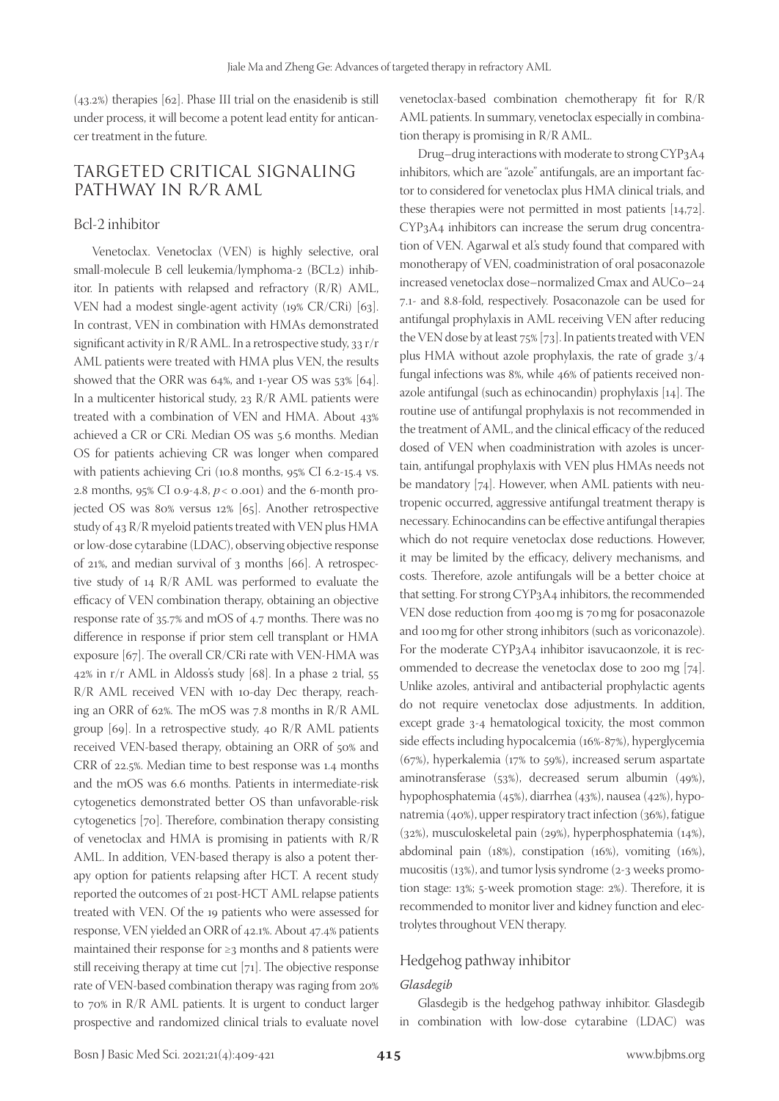(43.2%) therapies [62]. Phase III trial on the enasidenib is still under process, it will become a potent lead entity for anticancer treatment in the future.

# TARGETED CRITICAL SIGNALING PATHWAY IN R/R AML

### Bcl-2 inhibitor

Venetoclax. Venetoclax (VEN) is highly selective, oral small-molecule B cell leukemia/lymphoma-2 (BCL2) inhibitor. In patients with relapsed and refractory (R/R) AML, VEN had a modest single-agent activity (19% CR/CRi) [63]. In contrast, VEN in combination with HMAs demonstrated significant activity in R/R AML. In a retrospective study, 33 r/r AML patients were treated with HMA plus VEN, the results showed that the ORR was 64%, and 1-year OS was 53% [64]. In a multicenter historical study, 23 R/R AML patients were treated with a combination of VEN and HMA. About 43% achieved a CR or CRi. Median OS was 5.6 months. Median OS for patients achieving CR was longer when compared with patients achieving Cri (10.8 months, 95% CI 6.2-15.4 vs. 2.8 months, 95% CI 0.9-4.8, *p* < 0.001) and the 6-month projected OS was 80% versus 12% [65]. Another retrospective study of 43 R/R myeloid patients treated with VEN plus HMA or low-dose cytarabine (LDAC), observing objective response of 21%, and median survival of 3 months [66]. A retrospective study of 14 R/R AML was performed to evaluate the efficacy of VEN combination therapy, obtaining an objective response rate of 35.7% and mOS of 4.7 months. There was no difference in response if prior stem cell transplant or HMA exposure [67]. The overall CR/CRi rate with VEN-HMA was 42% in r/r AML in Aldoss's study [68]. In a phase 2 trial, 55 R/R AML received VEN with 10-day Dec therapy, reaching an ORR of 62%. The mOS was 7.8 months in R/R AML group [69]. In a retrospective study, 40 R/R AML patients received VEN-based therapy, obtaining an ORR of 50% and CRR of 22.5%. Median time to best response was 1.4 months and the mOS was 6.6 months. Patients in intermediate-risk cytogenetics demonstrated better OS than unfavorable-risk cytogenetics [70]. Therefore, combination therapy consisting of venetoclax and HMA is promising in patients with R/R AML. In addition, VEN-based therapy is also a potent therapy option for patients relapsing after HCT. A recent study reported the outcomes of 21 post-HCT AML relapse patients treated with VEN. Of the 19 patients who were assessed for response, VEN yielded an ORR of 42.1%. About 47.4% patients maintained their response for ≥3 months and 8 patients were still receiving therapy at time cut [71]. The objective response rate of VEN-based combination therapy was raging from 20% to 70% in R/R AML patients. It is urgent to conduct larger prospective and randomized clinical trials to evaluate novel

venetoclax-based combination chemotherapy fit for R/R AML patients. In summary, venetoclax especially in combination therapy is promising in R/R AML.

Drug–drug interactions with moderate to strong CYP3A4 inhibitors, which are "azole" antifungals, are an important factor to considered for venetoclax plus HMA clinical trials, and these therapies were not permitted in most patients [14,72]. CYP3A4 inhibitors can increase the serum drug concentration of VEN. Agarwal et al.'s study found that compared with monotherapy of VEN, coadministration of oral posaconazole increased venetoclax dose–normalized Cmax and AUCo–24 7.1- and 8.8-fold, respectively. Posaconazole can be used for antifungal prophylaxis in AML receiving VEN after reducing the VEN dose by at least 75% [73]. In patients treated with VEN plus HMA without azole prophylaxis, the rate of grade 3/4 fungal infections was 8%, while 46% of patients received nonazole antifungal (such as echinocandin) prophylaxis [14]. The routine use of antifungal prophylaxis is not recommended in the treatment of AML, and the clinical efficacy of the reduced dosed of VEN when coadministration with azoles is uncertain, antifungal prophylaxis with VEN plus HMAs needs not be mandatory [74]. However, when AML patients with neutropenic occurred, aggressive antifungal treatment therapy is necessary. Echinocandins can be effective antifungal therapies which do not require venetoclax dose reductions. However, it may be limited by the efficacy, delivery mechanisms, and costs. Therefore, azole antifungals will be a better choice at that setting. For strong CYP3A4 inhibitors, the recommended VEN dose reduction from 400mg is 70mg for posaconazole and 100mg for other strong inhibitors (such as voriconazole). For the moderate CYP3A4 inhibitor isavucaonzole, it is recommended to decrease the venetoclax dose to 200 mg [74]. Unlike azoles, antiviral and antibacterial prophylactic agents do not require venetoclax dose adjustments. In addition, except grade 3-4 hematological toxicity, the most common side effects including hypocalcemia (16%-87%), hyperglycemia (67%), hyperkalemia (17% to 59%), increased serum aspartate aminotransferase (53%), decreased serum albumin (49%), hypophosphatemia (45%), diarrhea (43%), nausea (42%), hyponatremia (40%), upper respiratory tract infection (36%), fatigue (32%), musculoskeletal pain (29%), hyperphosphatemia (14%), abdominal pain (18%), constipation (16%), vomiting (16%), mucositis (13%), and tumor lysis syndrome (2-3 weeks promotion stage: 13%; 5-week promotion stage: 2%). Therefore, it is recommended to monitor liver and kidney function and electrolytes throughout VEN therapy.

### Hedgehog pathway inhibitor

#### *Glasdegib*

Glasdegib is the hedgehog pathway inhibitor. Glasdegib in combination with low-dose cytarabine (LDAC) was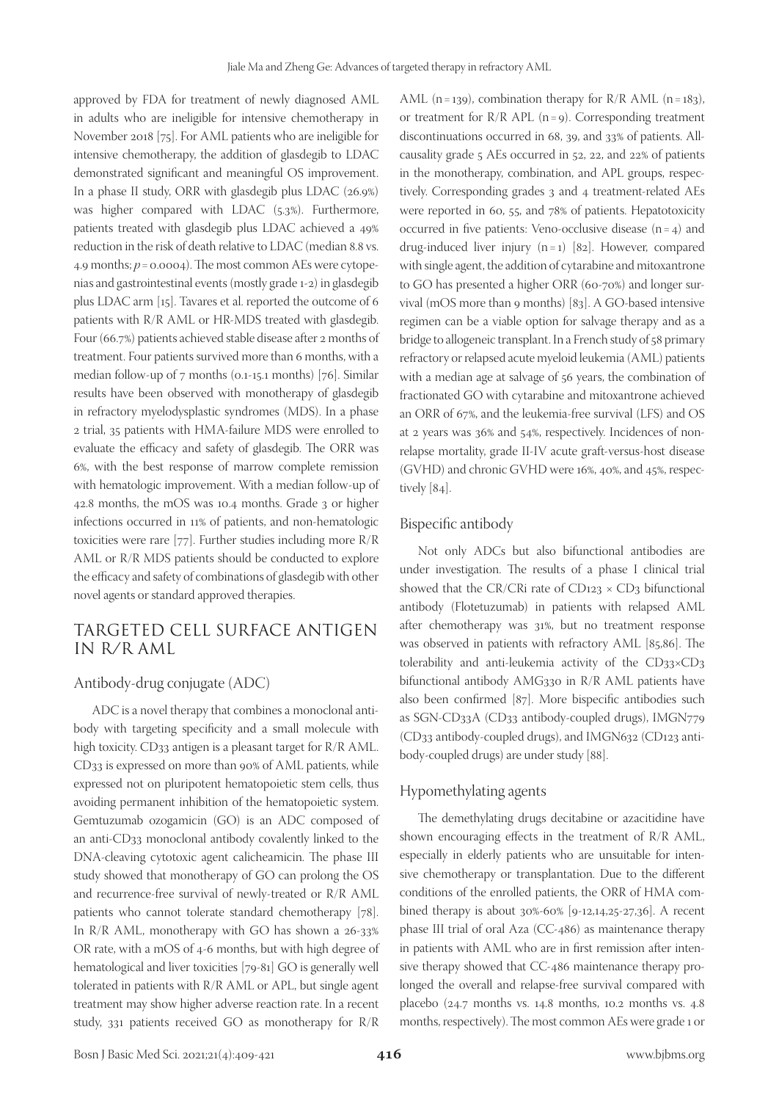approved by FDA for treatment of newly diagnosed AML in adults who are ineligible for intensive chemotherapy in November 2018 [75]. For AML patients who are ineligible for intensive chemotherapy, the addition of glasdegib to LDAC demonstrated significant and meaningful OS improvement. In a phase II study, ORR with glasdegib plus LDAC (26.9%) was higher compared with LDAC (5.3%). Furthermore, patients treated with glasdegib plus LDAC achieved a 49% reduction in the risk of death relative to LDAC (median 8.8 vs. 4.9 months;  $p = 0.0004$ ). The most common AEs were cytopenias and gastrointestinal events (mostly grade 1-2) in glasdegib plus LDAC arm [15]. Tavares et al. reported the outcome of 6 patients with R/R AML or HR-MDS treated with glasdegib. Four (66.7%) patients achieved stable disease after 2 months of treatment. Four patients survived more than 6 months, with a median follow-up of 7 months (0.1-15.1 months) [76]. Similar results have been observed with monotherapy of glasdegib in refractory myelodysplastic syndromes (MDS). In a phase 2 trial, 35 patients with HMA-failure MDS were enrolled to evaluate the efficacy and safety of glasdegib. The ORR was 6%, with the best response of marrow complete remission with hematologic improvement. With a median follow-up of 42.8 months, the mOS was 10.4 months. Grade 3 or higher infections occurred in 11% of patients, and non-hematologic toxicities were rare [77]. Further studies including more R/R AML or R/R MDS patients should be conducted to explore the efficacy and safety of combinations of glasdegib with other novel agents or standard approved therapies.

# TARGETED CELL SURFACE ANTIGEN IN R/R AML

### Antibody-drug conjugate (ADC)

ADC is a novel therapy that combines a monoclonal antibody with targeting specificity and a small molecule with high toxicity. CD33 antigen is a pleasant target for R/R AML. CD33 is expressed on more than 90% of AML patients, while expressed not on pluripotent hematopoietic stem cells, thus avoiding permanent inhibition of the hematopoietic system. Gemtuzumab ozogamicin (GO) is an ADC composed of an anti-CD33 monoclonal antibody covalently linked to the DNA-cleaving cytotoxic agent calicheamicin. The phase III study showed that monotherapy of GO can prolong the OS and recurrence-free survival of newly-treated or R/R AML patients who cannot tolerate standard chemotherapy [78]. In R/R AML, monotherapy with GO has shown a 26-33% OR rate, with a mOS of 4-6 months, but with high degree of hematological and liver toxicities [79-81] GO is generally well tolerated in patients with R/R AML or APL, but single agent treatment may show higher adverse reaction rate. In a recent study, 331 patients received GO as monotherapy for R/R

AML (n=139), combination therapy for  $R/R$  AML (n=183), or treatment for  $R/R$  APL (n=9). Corresponding treatment discontinuations occurred in 68, 39, and 33% of patients. Allcausality grade 5 AEs occurred in 52, 22, and 22% of patients in the monotherapy, combination, and APL groups, respectively. Corresponding grades 3 and 4 treatment-related AEs were reported in 60, 55, and 78% of patients. Hepatotoxicity occurred in five patients: Veno-occlusive disease  $(n = 4)$  and drug-induced liver injury  $(n=1)$  [82]. However, compared with single agent, the addition of cytarabine and mitoxantrone to GO has presented a higher ORR (60-70%) and longer survival (mOS more than 9 months) [83]. A GO-based intensive regimen can be a viable option for salvage therapy and as a bridge to allogeneic transplant. In a French study of 58 primary refractory or relapsed acute myeloid leukemia (AML) patients with a median age at salvage of 56 years, the combination of fractionated GO with cytarabine and mitoxantrone achieved an ORR of 67%, and the leukemia-free survival (LFS) and OS at 2 years was 36% and 54%, respectively. Incidences of nonrelapse mortality, grade II-IV acute graft-versus-host disease (GVHD) and chronic GVHD were 16%, 40%, and 45%, respectively [84].

#### Bispecific antibody

Not only ADCs but also bifunctional antibodies are under investigation. The results of a phase I clinical trial showed that the CR/CRi rate of CD123  $\times$  CD<sub>3</sub> bifunctional antibody (Flotetuzumab) in patients with relapsed AML after chemotherapy was 31%, but no treatment response was observed in patients with refractory AML [85,86]. The tolerability and anti-leukemia activity of the CD33×CD3 bifunctional antibody AMG330 in R/R AML patients have also been confirmed [87]. More bispecific antibodies such as SGN-CD33A (CD33 antibody-coupled drugs), IMGN779 (CD33 antibody-coupled drugs), and IMGN632 (CD123 antibody-coupled drugs) are under study [88].

### Hypomethylating agents

The demethylating drugs decitabine or azacitidine have shown encouraging effects in the treatment of R/R AML, especially in elderly patients who are unsuitable for intensive chemotherapy or transplantation. Due to the different conditions of the enrolled patients, the ORR of HMA combined therapy is about 30%-60% [9-12,14,25-27,36]. A recent phase III trial of oral Aza (CC-486) as maintenance therapy in patients with AML who are in first remission after intensive therapy showed that CC-486 maintenance therapy prolonged the overall and relapse-free survival compared with placebo (24.7 months vs. 14.8 months, 10.2 months vs. 4.8 months, respectively). The most common AEs were grade 1 or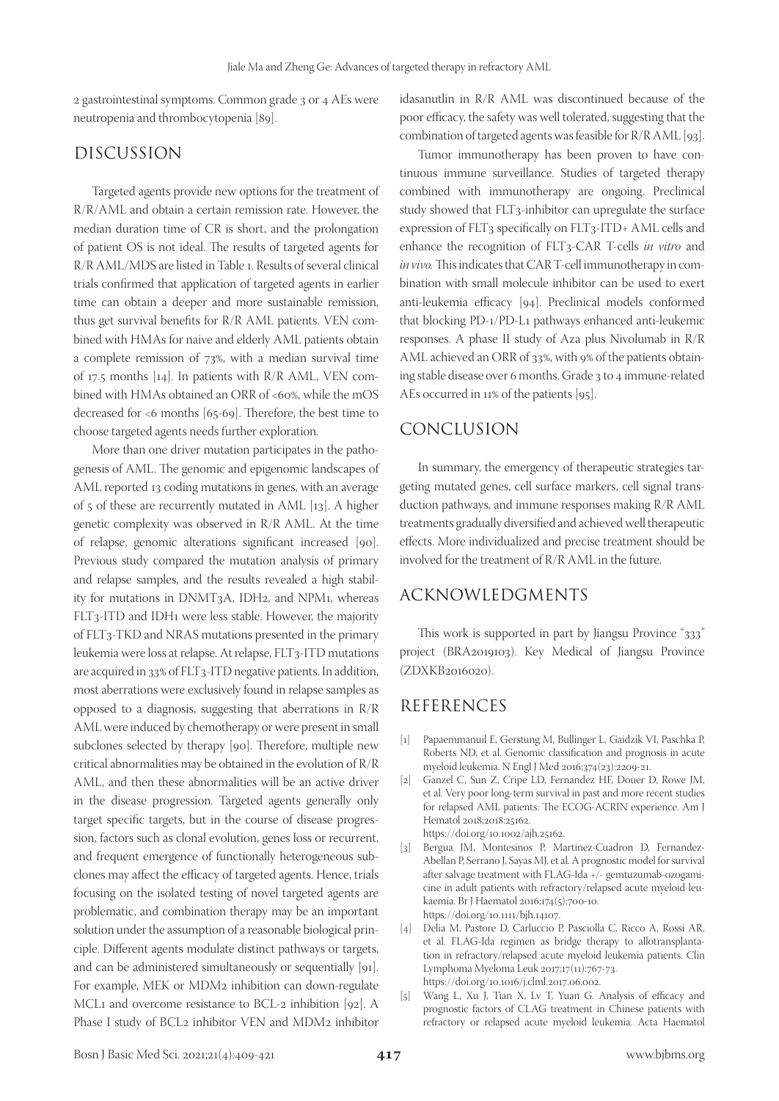2 gastrointestinal symptoms. Common grade 3 or 4 AEs were neutropenia and thrombocytopenia [89].

# DISCUSSION

Targeted agents provide new options for the treatment of R/R/AML and obtain a certain remission rate. However, the median duration time of CR is short, and the prolongation of patient OS is not ideal. The results of targeted agents for R/R AML/MDS are listed in Table 1. Results of several clinical trials confirmed that application of targeted agents in earlier time can obtain a deeper and more sustainable remission, thus get survival benefits for R/R AML patients. VEN combined with HMAs for naive and elderly AML patients obtain a complete remission of 73%, with a median survival time of 17.5 months [14]. In patients with R/R AML, VEN combined with HMAs obtained an ORR of <60%, while the mOS decreased for <6 months [65-69]. Therefore, the best time to choose targeted agents needs further exploration.

More than one driver mutation participates in the pathogenesis of AML. The genomic and epigenomic landscapes of AML reported 13 coding mutations in genes, with an average of 5 of these are recurrently mutated in AML [13]. A higher genetic complexity was observed in R/R AML. At the time of relapse, genomic alterations significant increased [90]. Previous study compared the mutation analysis of primary and relapse samples, and the results revealed a high stability for mutations in DNMT3A, IDH2, and NPM1, whereas FLT3-ITD and IDH1 were less stable. However, the majority of FLT3-TKD and NRAS mutations presented in the primary leukemia were loss at relapse. At relapse, FLT3-ITD mutations are acquired in 33% of FLT3-ITD negative patients. In addition, most aberrations were exclusively found in relapse samples as opposed to a diagnosis, suggesting that aberrations in R/R AML were induced by chemotherapy or were present in small subclones selected by therapy [90]. Therefore, multiple new critical abnormalities may be obtained in the evolution of R/R AML, and then these abnormalities will be an active driver in the disease progression. Targeted agents generally only target specific targets, but in the course of disease progression, factors such as clonal evolution, genes loss or recurrent, and frequent emergence of functionally heterogeneous subclones may affect the efficacy of targeted agents. Hence, trials focusing on the isolated testing of novel targeted agents are problematic, and combination therapy may be an important solution under the assumption of a reasonable biological principle. Different agents modulate distinct pathways or targets, and can be administered simultaneously or sequentially [91]. For example, MEK or MDM2 inhibition can down-regulate MCL1 and overcome resistance to BCL-2 inhibition [92]. A Phase I study of BCL2 inhibitor VEN and MDM2 inhibitor

idasanutlin in R/R AML was discontinued because of the poor efficacy, the safety was well tolerated, suggesting that the combination of targeted agents was feasible for R/R AML [93].

Tumor immunotherapy has been proven to have continuous immune surveillance. Studies of targeted therapy combined with immunotherapy are ongoing. Preclinical study showed that FLT3-inhibitor can upregulate the surface expression of FLT3 specifically on FLT3-ITD+ AML cells and enhance the recognition of FLT3-CAR T-cells *in vitro* and *in vivo.* This indicates that CAR T-cell immunotherapy in combination with small molecule inhibitor can be used to exert anti-leukemia efficacy [94]. Preclinical models conformed that blocking PD-1/PD-L1 pathways enhanced anti-leukemic responses. A phase II study of Aza plus Nivolumab in R/R AML achieved an ORR of 33%, with 9% of the patients obtaining stable disease over 6 months. Grade 3 to 4 immune-related AEs occurred in 11% of the patients [95].

# CONCLUSION

In summary, the emergency of therapeutic strategies targeting mutated genes, cell surface markers, cell signal transduction pathways, and immune responses making R/R AML treatments gradually diversified and achieved well therapeutic effects. More individualized and precise treatment should be involved for the treatment of R/R AML in the future.

# ACKNOWLEDGMENTS

This work is supported in part by Jiangsu Province "333" project (BRA2019103). Key Medical of Jiangsu Province (ZDXKB2016020).

# REFERENCES

- [1] Papaemmanuil E, Gerstung M, Bullinger L, Gaidzik VI, Paschka P, Roberts ND, et al. Genomic classification and prognosis in acute myeloid leukemia. N Engl J Med 2016;374(23):2209-21.
- [2] Ganzel C, Sun Z, Cripe LD, Fernandez HF, Douer D, Rowe JM, et al. Very poor long-term survival in past and more recent studies for relapsed AML patients: The ECOG-ACRIN experience. Am J Hematol 2018;2018:25162. https://doi.org/10.1002/ajh.25162.
- [3] Bergua JM, Montesinos P, Martinez-Cuadron D, Fernandez-Abellan P, Serrano J, Sayas MJ, et al. A prognostic model for survival after salvage treatment with FLAG-Ida +/- gemtuzumab-ozogamicine in adult patients with refractory/relapsed acute myeloid leukaemia. Br J Haematol 2016;174(5):700-10. https://doi.org/10.1111/bjh.14107.
- [4] Delia M, Pastore D, Carluccio P, Pasciolla C, Ricco A, Rossi AR, et al. FLAG-Ida regimen as bridge therapy to allotransplantation in refractory/relapsed acute myeloid leukemia patients. Clin Lymphoma Myeloma Leuk 2017;17(11):767-73. https://doi.org/10.1016/j.clml.2017.06.002.
- [5] Wang L, Xu J, Tian X, Lv T, Yuan G. Analysis of efficacy and prognostic factors of CLAG treatment in Chinese patients with refractory or relapsed acute myeloid leukemia. Acta Haematol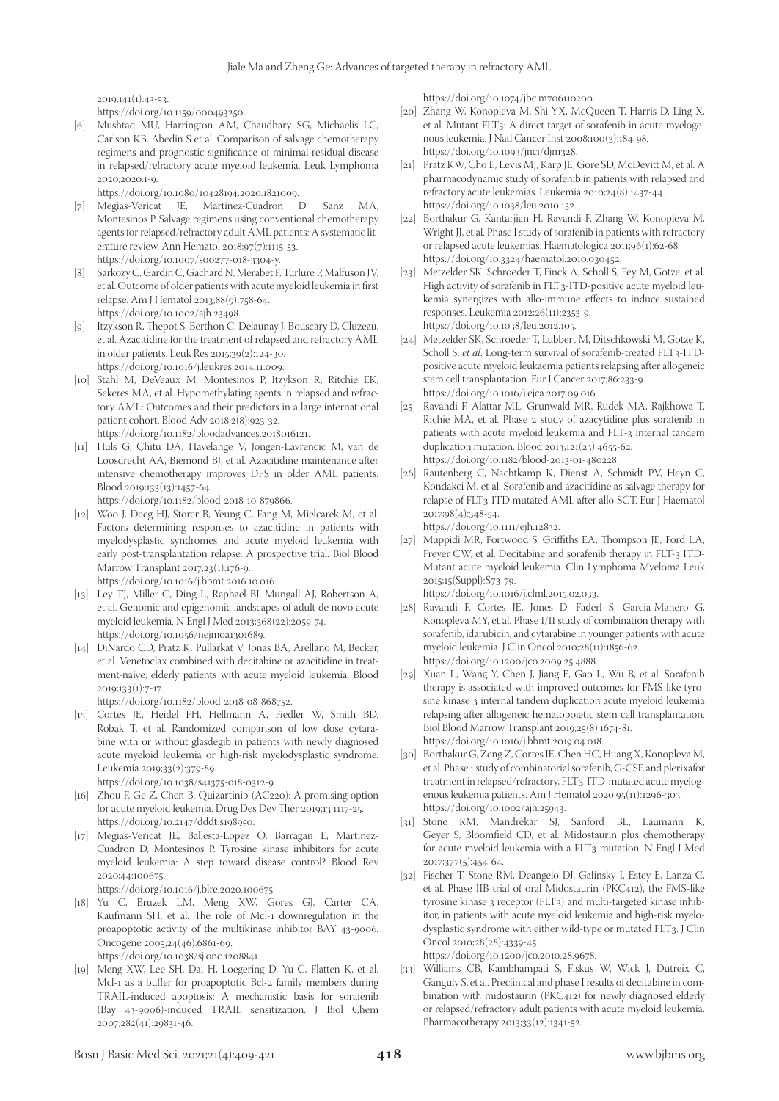2019;141(1):43-53.

https://doi.org/10.1159/000493250.

[6] Mushtaq MU, Harrington AM, Chaudhary SG, Michaelis LC, Carlson KB, Abedin S et al. Comparison of salvage chemotherapy regimens and prognostic significance of minimal residual disease in relapsed/refractory acute myeloid leukemia. Leuk Lymphoma 2020;2020:1-9.

https://doi.org/10.1080/10428194.2020.1821009.

- [7] Megias-Vericat JE, Martinez-Cuadron D, Sanz MA, Montesinos P. Salvage regimens using conventional chemotherapy agents for relapsed/refractory adult AML patients: A systematic literature review. Ann Hematol 2018;97(7):1115-53. https://doi.org/10.1007/s00277-018-3304-y.
- [8] Sarkozy C, Gardin C, Gachard N, Merabet F, Turlure P, Malfuson JV, et al. Outcome of older patients with acute myeloid leukemia in first relapse. Am J Hematol 2013;88(9):758-64. https://doi.org/10.1002/ajh.23498.
- [9] Itzykson R, Thepot S, Berthon C, Delaunay J, Bouscary D, Cluzeau, et al. Azacitidine for the treatment of relapsed and refractory AML in older patients. Leuk Res 2015;39(2):124-30. https://doi.org/10.1016/j.leukres.2014.11.009.
- [10] Stahl M, DeVeaux M, Montesinos P, Itzykson R, Ritchie EK, Sekeres MA, et al. Hypomethylating agents in relapsed and refractory AML: Outcomes and their predictors in a large international patient cohort. Blood Adv 2018;2(8):923-32. https://doi.org/10.1182/bloodadvances.2018016121.
- [11] Huls G, Chitu DA, Havelange V, Jongen-Lavrencic M, van de Loosdrecht AA, Biemond BJ, et al. Azacitidine maintenance after intensive chemotherapy improves DFS in older AML patients. Blood 2019;133(13):1457-64.
	- https://doi.org/10.1182/blood-2018-10-879866.
- [12] Woo J, Deeg HJ, Storer B, Yeung C, Fang M, Mielcarek M, et al. Factors determining responses to azacitidine in patients with myelodysplastic syndromes and acute myeloid leukemia with early post-transplantation relapse: A prospective trial. Biol Blood Marrow Transplant 2017;23(1):176-9.

https://doi.org/10.1016/j.bbmt.2016.10.016.

- [13] Ley TJ, Miller C, Ding L, Raphael BJ, Mungall AJ, Robertson A, et al. Genomic and epigenomic landscapes of adult de novo acute myeloid leukemia. N Engl J Med 2013;368(22):2059-74. https://doi.org/10.1056/nejmoa1301689.
- [14] DiNardo CD, Pratz K, Pullarkat V, Jonas BA, Arellano M, Becker, et al. Venetoclax combined with decitabine or azacitidine in treatment-naive, elderly patients with acute myeloid leukemia. Blood  $2019;133(1):7-17.$

https://doi.org/10.1182/blood-2018-08-868752.

[15] Cortes JE, Heidel FH, Hellmann A, Fiedler W, Smith BD, Robak T, et al. Randomized comparison of low dose cytarabine with or without glasdegib in patients with newly diagnosed acute myeloid leukemia or high-risk myelodysplastic syndrome. Leukemia 2019;33(2):379-89.

https://doi.org/10.1038/s41375-018-0312-9.

- [16] Zhou F, Ge Z, Chen B. Quizartinib (AC220): A promising option for acute myeloid leukemia. Drug Des Dev Ther 2019;13:1117-25. https://doi.org/10.2147/dddt.s198950.
- [17] Megias-Vericat JE, Ballesta-Lopez O, Barragan E, Martinez-Cuadron D, Montesinos P. Tyrosine kinase inhibitors for acute myeloid leukemia: A step toward disease control? Blood Rev 2020;44:100675.

https://doi.org/10.1016/j.blre.2020.100675.

- [18] Yu C, Bruzek LM, Meng XW, Gores GJ, Carter CA, Kaufmann SH, et al. The role of Mcl-1 downregulation in the proapoptotic activity of the multikinase inhibitor BAY 43-9006. Oncogene 2005;24(46):6861-69. https://doi.org/10.1038/sj.onc.1208841.
- [19] Meng XW, Lee SH, Dai H, Loegering D, Yu C, Flatten K, et al. Mcl-1 as a buffer for proapoptotic Bcl-2 family members during TRAIL-induced apoptosis: A mechanistic basis for sorafenib (Bay 43-9006)-induced TRAIL sensitization. J Biol Chem 2007;282(41):29831-46.

https://doi.org/10.1074/jbc.m706110200.

- [20] Zhang W, Konopleva M, Shi YX, McQueen T, Harris D, Ling X, et al. Mutant FLT3: A direct target of sorafenib in acute myelogenous leukemia. J Natl Cancer Inst 2008;100(3):184-98. https://doi.org/10.1093/jnci/djm328.
- [21] Pratz KW, Cho E, Levis MJ, Karp JE, Gore SD, McDevitt M, et al. A pharmacodynamic study of sorafenib in patients with relapsed and refractory acute leukemias. Leukemia 2010;24(8):1437-44. https://doi.org/10.1038/leu.2010.132.
- [22] Borthakur G, Kantarjian H, Ravandi F, Zhang W, Konopleva M, Wright JJ, et al. Phase I study of sorafenib in patients with refractory or relapsed acute leukemias. Haematologica 2011;96(1):62-68. https://doi.org/10.3324/haematol.2010.030452.
- [23] Metzelder SK, Schroeder T, Finck A, Scholl S, Fey M, Gotze, et al. High activity of sorafenib in FLT3-ITD-positive acute myeloid leukemia synergizes with allo-immune effects to induce sustained responses. Leukemia 2012;26(11):2353-9. https://doi.org/10.1038/leu.2012.105.
- [24] Metzelder SK, Schroeder T, Lubbert M, Ditschkowski M, Gotze K, Scholl S, *et al*. Long-term survival of sorafenib-treated FLT3-ITDpositive acute myeloid leukaemia patients relapsing after allogeneic stem cell transplantation. Eur J Cancer 2017;86:233-9. https://doi.org/10.1016/j.ejca.2017.09.016.
- [25] Ravandi F, Alattar ML, Grunwald MR, Rudek MA, Rajkhowa T, Richie MA, et al. Phase 2 study of azacytidine plus sorafenib in patients with acute myeloid leukemia and FLT-3 internal tandem duplication mutation. Blood 2013;121(23):4655-62. https://doi.org/10.1182/blood-2013-01-480228.
- [26] Rautenberg C, Nachtkamp K, Dienst A, Schmidt PV, Heyn C, Kondakci M, et al. Sorafenib and azacitidine as salvage therapy for relapse of FLT3-ITD mutated AML after allo-SCT. Eur J Haematol 2017;98(4):348-54.

https://doi.org/10.1111/ejh.12832.

- [27] Muppidi MR, Portwood S, Griffiths EA, Thompson JE, Ford LA, Freyer CW, et al. Decitabine and sorafenib therapy in FLT-3 ITD-Mutant acute myeloid leukemia. Clin Lymphoma Myeloma Leuk 2015;15(Suppl):S73-79. https://doi.org/10.1016/j.clml.2015.02.033.
- [28] Ravandi F, Cortes JE, Jones D, Faderl S, Garcia-Manero G, Konopleva MY, et al. Phase I/II study of combination therapy with sorafenib, idarubicin, and cytarabine in younger patients with acute myeloid leukemia. J Clin Oncol 2010;28(11):1856-62. https://doi.org/10.1200/jco.2009.25.4888.
- [29] Xuan L, Wang Y, Chen J, Jiang E, Gao L, Wu B, et al. Sorafenib therapy is associated with improved outcomes for FMS-like tyrosine kinase 3 internal tandem duplication acute myeloid leukemia relapsing after allogeneic hematopoietic stem cell transplantation. Biol Blood Marrow Transplant 2019;25(8):1674-81. https://doi.org/10.1016/j.bbmt.2019.04.018.
- [30] Borthakur G, Zeng Z, Cortes JE, Chen HC, Huang X, Konopleva M, et al. Phase 1 study of combinatorial sorafenib, G-CSF, and plerixafor treatment in relapsed/refractory, FLT3-ITD-mutated acute myelogenous leukemia patients. Am J Hematol 2020;95(11):1296-303. https://doi.org/10.1002/ajh.25943.
- [31] Stone RM, Mandrekar SJ, Sanford BL, Laumann K, Geyer S, Bloomfield CD, et al. Midostaurin plus chemotherapy for acute myeloid leukemia with a FLT3 mutation. N Engl J Med 2017;377(5):454-64.
- [32] Fischer T, Stone RM, Deangelo DJ, Galinsky I, Estey E, Lanza C, et al. Phase IIB trial of oral Midostaurin (PKC412), the FMS-like tyrosine kinase 3 receptor (FLT3) and multi-targeted kinase inhibitor, in patients with acute myeloid leukemia and high-risk myelodysplastic syndrome with either wild-type or mutated FLT3. J Clin Oncol 2010;28(28):4339-45. https://doi.org/10.1200/jco.2010.28.9678.
- [33] Williams CB, Kambhampati S, Fiskus W, Wick J, Dutreix C, Ganguly S, et al. Preclinical and phase I results of decitabine in combination with midostaurin (PKC412) for newly diagnosed elderly or relapsed/refractory adult patients with acute myeloid leukemia. Pharmacotherapy 2013;33(12):1341-52.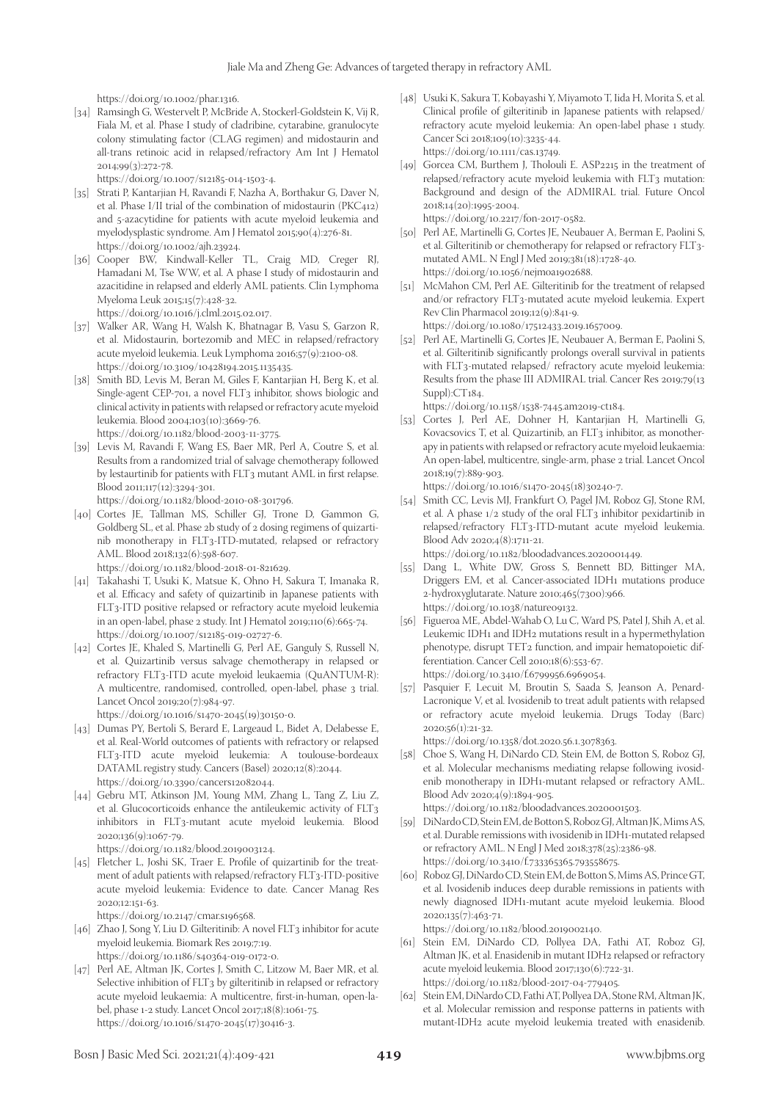https://doi.org/10.1002/phar.1316.

[34] Ramsingh G, Westervelt P, McBride A, Stockerl-Goldstein K, Vij R, Fiala M, et al. Phase I study of cladribine, cytarabine, granulocyte colony stimulating factor (CLAG regimen) and midostaurin and all-trans retinoic acid in relapsed/refractory Am Int J Hematol 2014;99(3):272-78.

https://doi.org/10.1007/s12185-014-1503-4.

- [35] Strati P, Kantarjian H, Ravandi F, Nazha A, Borthakur G, Daver N, et al. Phase I/II trial of the combination of midostaurin (PKC412) and 5-azacytidine for patients with acute myeloid leukemia and myelodysplastic syndrome. Am J Hematol 2015;90(4):276-81. https://doi.org/10.1002/ajh.23924.
- [36] Cooper BW, Kindwall-Keller TL, Craig MD, Creger RJ, Hamadani M, Tse WW, et al. A phase I study of midostaurin and azacitidine in relapsed and elderly AML patients. Clin Lymphoma Myeloma Leuk 2015;15(7):428-32. https://doi.org/10.1016/j.clml.2015.02.017.
- [37] Walker AR, Wang H, Walsh K, Bhatnagar B, Vasu S, Garzon R, et al. Midostaurin, bortezomib and MEC in relapsed/refractory acute myeloid leukemia. Leuk Lymphoma 2016;57(9):2100-08. https://doi.org/10.3109/10428194.2015.1135435.
- [38] Smith BD, Levis M, Beran M, Giles F, Kantarjian H, Berg K, et al. Single-agent CEP-701, a novel FLT3 inhibitor, shows biologic and clinical activity in patients with relapsed or refractory acute myeloid leukemia. Blood 2004;103(10):3669-76. https://doi.org/10.1182/blood-2003-11-3775.
- [39] Levis M, Ravandi F, Wang ES, Baer MR, Perl A, Coutre S, et al. Results from a randomized trial of salvage chemotherapy followed by lestaurtinib for patients with FLT3 mutant AML in first relapse. Blood 2011;117(12):3294-301.

https://doi.org/10.1182/blood-2010-08-301796.

[40] Cortes JE, Tallman MS, Schiller GJ, Trone D, Gammon G, Goldberg SL, et al. Phase 2b study of 2 dosing regimens of quizartinib monotherapy in FLT3-ITD-mutated, relapsed or refractory AML. Blood 2018;132(6):598-607.

https://doi.org/10.1182/blood-2018-01-821629.

- [41] Takahashi T, Usuki K, Matsue K, Ohno H, Sakura T, Imanaka R, et al. Efficacy and safety of quizartinib in Japanese patients with FLT3-ITD positive relapsed or refractory acute myeloid leukemia in an open-label, phase 2 study. Int J Hematol 2019;110(6):665-74. https://doi.org/10.1007/s12185-019-02727-6.
- [42] Cortes JE, Khaled S, Martinelli G, Perl AE, Ganguly S, Russell N, et al. Quizartinib versus salvage chemotherapy in relapsed or refractory FLT3-ITD acute myeloid leukaemia (QuANTUM-R): A multicentre, randomised, controlled, open-label, phase 3 trial. Lancet Oncol 2019;20(7):984-97.

https://doi.org/10.1016/s1470-2045(19)30150-0.

- [43] Dumas PY, Bertoli S, Berard E, Largeaud L, Bidet A, Delabesse E, et al. Real-World outcomes of patients with refractory or relapsed FLT3-ITD acute myeloid leukemia: A toulouse-bordeaux DATAML registry study. Cancers (Basel) 2020;12(8):2044. https://doi.org/10.3390/cancers12082044.
- [44] Gebru MT, Atkinson JM, Young MM, Zhang L, Tang Z, Liu Z, et al. Glucocorticoids enhance the antileukemic activity of FLT3 inhibitors in FLT3-mutant acute myeloid leukemia. Blood 2020;136(9):1067-79.

https://doi.org/10.1182/blood.2019003124.

[45] Fletcher L, Joshi SK, Traer E. Profile of quizartinib for the treatment of adult patients with relapsed/refractory FLT3-ITD-positive acute myeloid leukemia: Evidence to date. Cancer Manag Res 2020;12:151-63.

https://doi.org/10.2147/cmar.s196568.

- [46] Zhao J, Song Y, Liu D. Gilteritinib: A novel FLT3 inhibitor for acute myeloid leukemia. Biomark Res 2019;7:19. https://doi.org/10.1186/s40364-019-0172-0.
- [47] Perl AE, Altman JK, Cortes J, Smith C, Litzow M, Baer MR, et al. Selective inhibition of FLT<sub>3</sub> by gilteritinib in relapsed or refractory acute myeloid leukaemia: A multicentre, first-in-human, open-label, phase 1-2 study. Lancet Oncol 2017;18(8):1061-75. https://doi.org/10.1016/s1470-2045(17)30416-3.
- [48] Usuki K, Sakura T, Kobayashi Y, Miyamoto T, Iida H, Morita S, et al. Clinical profile of gilteritinib in Japanese patients with relapsed/ refractory acute myeloid leukemia: An open-label phase 1 study. Cancer Sci 2018;109(10):3235-44. https://doi.org/10.1111/cas.13749.
- [49] Gorcea CM, Burthem J, Tholouli E. ASP2215 in the treatment of relapsed/refractory acute myeloid leukemia with FLT3 mutation: Background and design of the ADMIRAL trial. Future Oncol 2018;14(20):1995-2004. https://doi.org/10.2217/fon-2017-0582.
- [50] Perl AE, Martinelli G, Cortes JE, Neubauer A, Berman E, Paolini S, et al. Gilteritinib or chemotherapy for relapsed or refractory FLT3 mutated AML. N Engl J Med 2019;381(18):1728-40. https://doi.org/10.1056/nejmoa1902688.
- [51] McMahon CM, Perl AE. Gilteritinib for the treatment of relapsed and/or refractory FLT3-mutated acute myeloid leukemia. Expert Rev Clin Pharmacol 2019;12(9):841-9. https://doi.org/10.1080/17512433.2019.1657009.
- [52] Perl AE, Martinelli G, Cortes JE, Neubauer A, Berman E, Paolini S, et al. Gilteritinib significantly prolongs overall survival in patients with FLT3-mutated relapsed/ refractory acute myeloid leukemia: Results from the phase III ADMIRAL trial. Cancer Res 2019;79(13 Suppl):CT184.

https://doi.org/10.1158/1538-7445.am2019-ct184.

[53] Cortes J, Perl AE, Dohner H, Kantarjian H, Martinelli G, Kovacsovics T, et al. Quizartinib, an FLT3 inhibitor, as monotherapy in patients with relapsed or refractory acute myeloid leukaemia: An open-label, multicentre, single-arm, phase 2 trial. Lancet Oncol 2018;19(7):889-903.

https://doi.org/10.1016/s1470-2045(18)30240-7.

- [54] Smith CC, Levis MJ, Frankfurt O, Pagel JM, Roboz GJ, Stone RM, et al. A phase 1/2 study of the oral FLT3 inhibitor pexidartinib in relapsed/refractory FLT3-ITD-mutant acute myeloid leukemia. Blood Adv 2020;4(8):1711-21. https://doi.org/10.1182/bloodadvances.2020001449.
- [55] Dang L, White DW, Gross S, Bennett BD, Bittinger MA, Driggers EM, et al. Cancer-associated IDH1 mutations produce 2-hydroxyglutarate. Nature 2010;465(7300):966. https://doi.org/10.1038/nature09132.
- [56] Figueroa ME, Abdel-Wahab O, Lu C, Ward PS, Patel J, Shih A, et al. Leukemic IDH1 and IDH2 mutations result in a hypermethylation phenotype, disrupt TET2 function, and impair hematopoietic differentiation. Cancer Cell 2010;18(6):553-67. https://doi.org/10.3410/f.6799956.6969054.
- [57] Pasquier F, Lecuit M, Broutin S, Saada S, Jeanson A, Penard-Lacronique V, et al. Ivosidenib to treat adult patients with relapsed or refractory acute myeloid leukemia. Drugs Today (Barc) 2020;56(1):21-32.

https://doi.org/10.1358/dot.2020.56.1.3078363.

[58] Choe S, Wang H, DiNardo CD, Stein EM, de Botton S, Roboz GJ, et al. Molecular mechanisms mediating relapse following ivosidenib monotherapy in IDH1-mutant relapsed or refractory AML. Blood Adv 2020;4(9):1894-905. https://doi.org/10.1182/bloodadvances.2020001503.

[59] DiNardo CD, Stein EM, de Botton S, Roboz GJ, Altman JK, Mims AS,

- et al. Durable remissions with ivosidenib in IDH1-mutated relapsed or refractory AML. N Engl J Med 2018;378(25):2386-98. https://doi.org/10.3410/f.733365365.793558675.
- [60] Roboz GJ, DiNardo CD, Stein EM, de Botton S, Mims AS, Prince GT, et al. Ivosidenib induces deep durable remissions in patients with newly diagnosed IDH1-mutant acute myeloid leukemia. Blood 2020;135(7):463-71.

https://doi.org/10.1182/blood.2019002140.

- [61] Stein EM, DiNardo CD, Pollyea DA, Fathi AT, Roboz GJ, Altman JK, et al. Enasidenib in mutant IDH2 relapsed or refractory acute myeloid leukemia. Blood 2017;130(6):722-31. https://doi.org/10.1182/blood-2017-04-779405.
- [62] Stein EM, DiNardo CD, Fathi AT, Pollyea DA, Stone RM, Altman JK, et al. Molecular remission and response patterns in patients with mutant-IDH2 acute myeloid leukemia treated with enasidenib.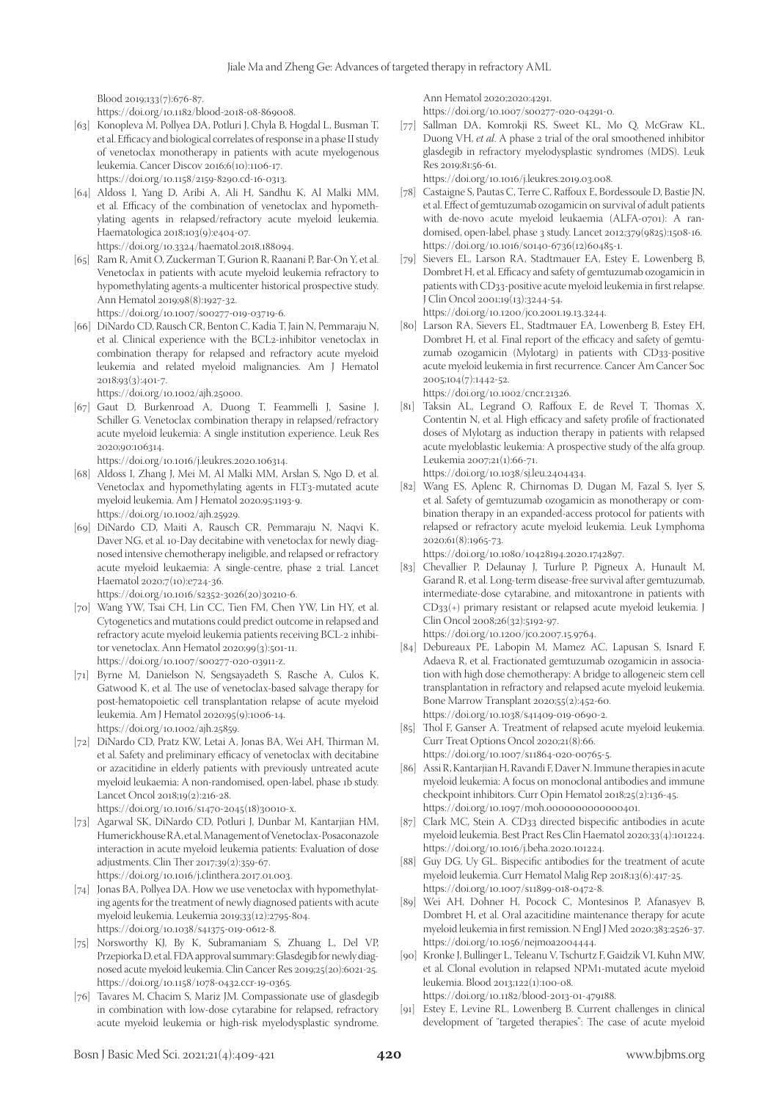Blood 2019;133(7):676-87.

https://doi.org/10.1182/blood-2018-08-869008.

- [63] Konopleva M, Pollyea DA, Potluri J, Chyla B, Hogdal L, Busman T, et al. Efficacy and biological correlates of response in a phase II study of venetoclax monotherapy in patients with acute myelogenous leukemia. Cancer Discov 2016;6(10):1106-17. https://doi.org/10.1158/2159-8290.cd-16-0313.
- [64] Aldoss I, Yang D, Aribi A, Ali H, Sandhu K, Al Malki MM, et al. Efficacy of the combination of venetoclax and hypomethylating agents in relapsed/refractory acute myeloid leukemia. Haematologica 2018;103(9):e404-07.

https://doi.org/10.3324/haematol.2018.188094.

- [65] Ram R, Amit O, Zuckerman T, Gurion R, Raanani P, Bar-On Y, et al. Venetoclax in patients with acute myeloid leukemia refractory to hypomethylating agents-a multicenter historical prospective study. Ann Hematol 2019;98(8):1927-32. https://doi.org/10.1007/s00277-019-03719-6.
- [66] DiNardo CD, Rausch CR, Benton C, Kadia T, Jain N, Pemmaraju N, et al. Clinical experience with the BCL2-inhibitor venetoclax in combination therapy for relapsed and refractory acute myeloid leukemia and related myeloid malignancies. Am J Hematol 2018;93(3):401-7.

https://doi.org/10.1002/ajh.25000.

[67] Gaut D, Burkenroad A, Duong T, Feammelli J, Sasine J, Schiller G. Venetoclax combination therapy in relapsed/refractory acute myeloid leukemia: A single institution experience. Leuk Res 2020;90:106314.

https://doi.org/10.1016/j.leukres.2020.106314.

- [68] Aldoss I, Zhang J, Mei M, Al Malki MM, Arslan S, Ngo D, et al. Venetoclax and hypomethylating agents in FLT3-mutated acute myeloid leukemia. Am J Hematol 2020;95:1193-9. https://doi.org/10.1002/ajh.25929.
- [69] DiNardo CD, Maiti A, Rausch CR, Pemmaraju N, Naqvi K, Daver NG, et al. 10-Day decitabine with venetoclax for newly diagnosed intensive chemotherapy ineligible, and relapsed or refractory acute myeloid leukaemia: A single-centre, phase 2 trial. Lancet Haematol 2020;7(10):e724-36. https://doi.org/10.1016/s2352-3026(20)30210-6.

[70] Wang YW, Tsai CH, Lin CC, Tien FM, Chen YW, Lin HY, et al. Cytogenetics and mutations could predict outcome in relapsed and refractory acute myeloid leukemia patients receiving BCL-2 inhibitor venetoclax. Ann Hematol 2020;99(3):501-11.

- https://doi.org/10.1007/s00277-020-03911-z. [71] Byrne M, Danielson N, Sengsayadeth S, Rasche A, Culos K, Gatwood K, et al. The use of venetoclax-based salvage therapy for post-hematopoietic cell transplantation relapse of acute myeloid leukemia. Am J Hematol 2020;95(9):1006-14. https://doi.org/10.1002/ajh.25859.
- [72] DiNardo CD, Pratz KW, Letai A, Jonas BA, Wei AH, Thirman M, et al. Safety and preliminary efficacy of venetoclax with decitabine or azacitidine in elderly patients with previously untreated acute myeloid leukaemia: A non-randomised, open-label, phase 1b study. Lancet Oncol 2018;19(2):216-28.

https://doi.org/10.1016/s1470-2045(18)30010-x.

- [73] Agarwal SK, DiNardo CD, Potluri J, Dunbar M, Kantarjian HM, Humerickhouse RA, et al. Management of Venetoclax-Posaconazole interaction in acute myeloid leukemia patients: Evaluation of dose adjustments. Clin Ther 2017;39(2):359-67. https://doi.org/10.1016/j.clinthera.2017.01.003.
- [74] Jonas BA, Pollyea DA. How we use venetoclax with hypomethylating agents for the treatment of newly diagnosed patients with acute myeloid leukemia. Leukemia 2019;33(12):2795-804. https://doi.org/10.1038/s41375-019-0612-8.
- [75] Norsworthy KJ, By K, Subramaniam S, Zhuang L, Del VP, Przepiorka D, et al. FDA approval summary: Glasdegib for newly diagnosed acute myeloid leukemia. Clin Cancer Res 2019;25(20):6021-25. https://doi.org/10.1158/1078-0432.ccr-19-0365.
- [76] Tavares M, Chacim S, Mariz JM. Compassionate use of glasdegib in combination with low-dose cytarabine for relapsed, refractory acute myeloid leukemia or high-risk myelodysplastic syndrome.

Ann Hematol 2020;2020:4291.

https://doi.org/10.1007/s00277-020-04291-0.

[77] Sallman DA, Komrokji RS, Sweet KL, Mo Q, McGraw KL, Duong VH, *et al*. A phase 2 trial of the oral smoothened inhibitor glasdegib in refractory myelodysplastic syndromes (MDS). Leuk Res 2019;81:56-61.

https://doi.org/10.1016/j.leukres.2019.03.008.

- [78] Castaigne S, Pautas C, Terre C, Raffoux E, Bordessoule D, Bastie JN, et al. Effect of gemtuzumab ozogamicin on survival of adult patients with de-novo acute myeloid leukaemia (ALFA-0701): A randomised, open-label, phase 3 study. Lancet 2012;379(9825):1508-16. https://doi.org/10.1016/s0140-6736(12)60485-1.
- [79] Sievers EL, Larson RA, Stadtmauer EA, Estey E, Lowenberg B, Dombret H, et al. Efficacy and safety of gemtuzumab ozogamicin in patients with CD33-positive acute myeloid leukemia in first relapse. J Clin Oncol 2001;19(13):3244-54.

https://doi.org/10.1200/jco.2001.19.13.3244.

[80] Larson RA, Sievers EL, Stadtmauer EA, Lowenberg B, Estey EH, Dombret H, et al. Final report of the efficacy and safety of gemtuzumab ozogamicin (Mylotarg) in patients with CD33-positive acute myeloid leukemia in first recurrence. Cancer Am Cancer Soc 2005;104(7):1442-52.

https://doi.org/10.1002/cncr.21326.

[81] Taksin AL, Legrand O, Raffoux E, de Revel T, Thomas X, Contentin N, et al. High efficacy and safety profile of fractionated doses of Mylotarg as induction therapy in patients with relapsed acute myeloblastic leukemia: A prospective study of the alfa group. Leukemia 2007;21(1):66-71.

https://doi.org/10.1038/sj.leu.2404434.

[82] Wang ES, Aplenc R, Chirnomas D, Dugan M, Fazal S, Iyer S, et al. Safety of gemtuzumab ozogamicin as monotherapy or combination therapy in an expanded-access protocol for patients with relapsed or refractory acute myeloid leukemia. Leuk Lymphoma 2020;61(8):1965-73.

https://doi.org/10.1080/10428194.2020.1742897.

[83] Chevallier P, Delaunay J, Turlure P, Pigneux A, Hunault M, Garand R, et al. Long-term disease-free survival after gemtuzumab, intermediate-dose cytarabine, and mitoxantrone in patients with CD33(+) primary resistant or relapsed acute myeloid leukemia. J Clin Oncol 2008;26(32):5192-97.

https://doi.org/10.1200/jco.2007.15.9764.

- [84] Debureaux PE, Labopin M, Mamez AC, Lapusan S, Isnard F, Adaeva R, et al. Fractionated gemtuzumab ozogamicin in association with high dose chemotherapy: A bridge to allogeneic stem cell transplantation in refractory and relapsed acute myeloid leukemia. Bone Marrow Transplant 2020;55(2):452-60. https://doi.org/10.1038/s41409-019-0690-2.
- [85] Thol F, Ganser A. Treatment of relapsed acute myeloid leukemia. Curr Treat Options Oncol 2020;21(8):66. https://doi.org/10.1007/s11864-020-00765-5.
- [86] Assi R, Kantarjian H, Ravandi F, Daver N. Immune therapies in acute myeloid leukemia: A focus on monoclonal antibodies and immune checkpoint inhibitors. Curr Opin Hematol 2018;25(2):136-45. https://doi.org/10.1097/moh.0000000000000401.
- [87] Clark MC, Stein A. CD33 directed bispecific antibodies in acute myeloid leukemia. Best Pract Res Clin Haematol 2020;33(4):101224. https://doi.org/10.1016/j.beha.2020.101224.
- [88] Guy DG, Uy GL. Bispecific antibodies for the treatment of acute myeloid leukemia. Curr Hematol Malig Rep 2018;13(6):417-25. https://doi.org/10.1007/s11899-018-0472-8.
- [89] Wei AH, Dohner H, Pocock C, Montesinos P, Afanasyev B, Dombret H, et al. Oral azacitidine maintenance therapy for acute myeloid leukemia in first remission. N Engl J Med 2020;383:2526-37. https://doi.org/10.1056/nejmoa2004444.
- [90] Kronke J, Bullinger L, Teleanu V, Tschurtz F, Gaidzik VI, Kuhn MW, et al. Clonal evolution in relapsed NPM1-mutated acute myeloid leukemia. Blood 2013;122(1):100-08.

https://doi.org/10.1182/blood-2013-01-479188.

[91] Estey E, Levine RL, Lowenberg B. Current challenges in clinical development of "targeted therapies": The case of acute myeloid